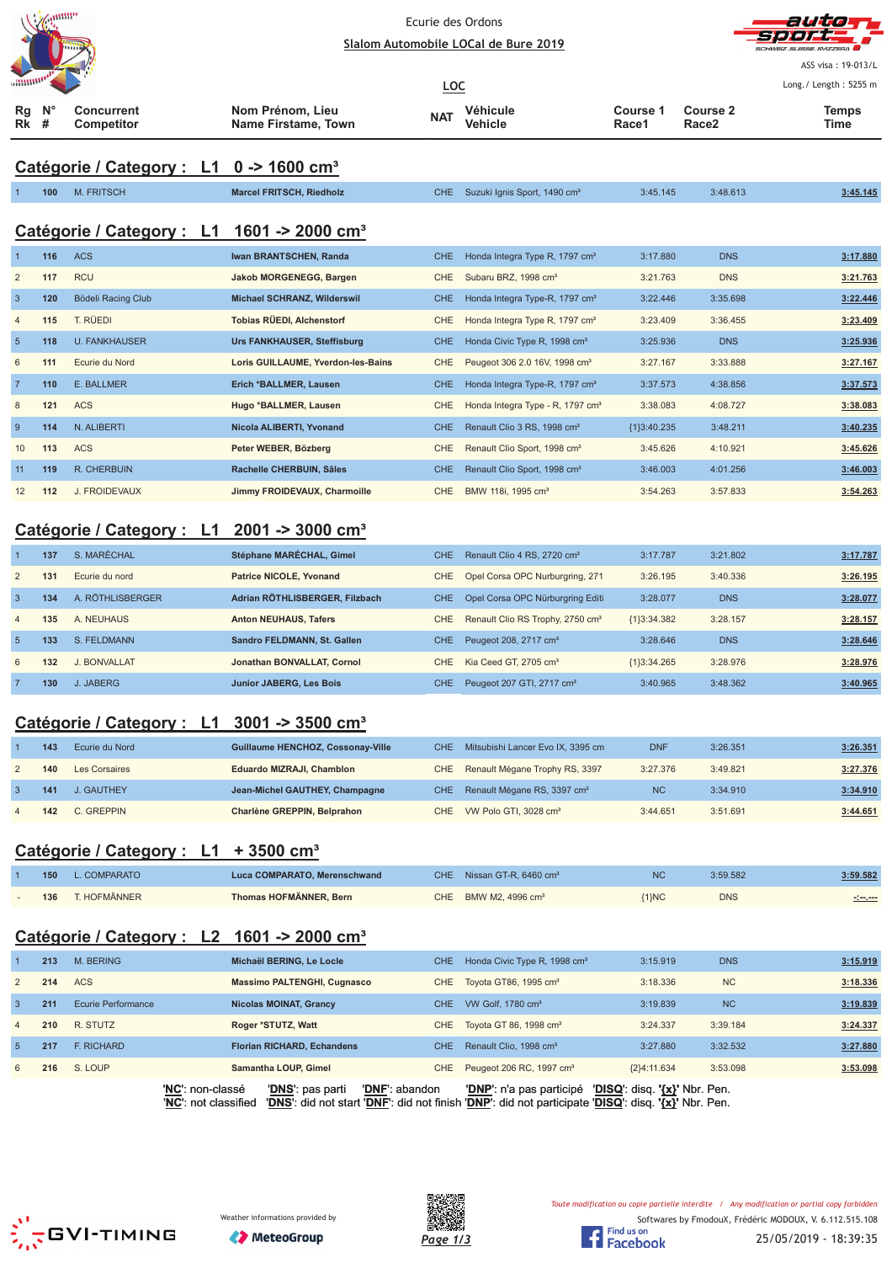| <b>CONSUMPLE</b> |  |
|------------------|--|
| annumor          |  |
| e                |  |



ASS visa: 19-013/L Long./ Length: 5255 m

| $\ldots$ $\ldots$      |    |                                 |                                         | <u>LOC</u> |                     |                   |                          | Long./ Length: 5255 r |
|------------------------|----|---------------------------------|-----------------------------------------|------------|---------------------|-------------------|--------------------------|-----------------------|
| $Rq$ $N^{\circ}$<br>Rk | -# | Concurrent<br><b>Competitor</b> | Nom Prénom, Lieu<br>Name Firstame, Town | <b>NAT</b> | Véhicule<br>Vehicle | Course 1<br>Race1 | <b>Course 2</b><br>Race2 | Temps<br>Time         |

# **Catégorie / Category : L1 0 -> 1600 cm³**

|                 | 100 | <b>M. FRITSCH</b>         | <b>Marcel FRITSCH, Riedholz</b>    | <b>CHE</b> | Suzuki Ignis Sport, 1490 cm <sup>3</sup>     | 3:45.145      | 3:48.613   | 3:45.145 |
|-----------------|-----|---------------------------|------------------------------------|------------|----------------------------------------------|---------------|------------|----------|
|                 |     | Catégorie / Category : L1 | 1601 -> 2000 cm <sup>3</sup>       |            |                                              |               |            |          |
|                 | 116 | <b>ACS</b>                | Iwan BRANTSCHEN, Randa             | CHE.       | Honda Integra Type R, 1797 cm <sup>3</sup>   | 3:17.880      | <b>DNS</b> | 3:17.880 |
| $\overline{2}$  | 117 | <b>RCU</b>                | <b>Jakob MORGENEGG, Bargen</b>     | <b>CHE</b> | Subaru BRZ, 1998 cm <sup>3</sup>             | 3:21.763      | <b>DNS</b> | 3:21.763 |
| $\overline{3}$  | 120 | Bödeli Racing Club        | Michael SCHRANZ, Wilderswil        | CHE.       | Honda Integra Type-R, 1797 cm <sup>3</sup>   | 3:22.446      | 3:35.698   | 3:22.446 |
| $\overline{4}$  | 115 | T. RÜEDI                  | Tobias RÜEDI, Alchenstorf          | <b>CHE</b> | Honda Integra Type R, 1797 cm <sup>3</sup>   | 3:23.409      | 3:36.455   | 3:23.409 |
| $5\phantom{.0}$ | 118 | <b>U. FANKHAUSER</b>      | Urs FANKHAUSER, Steffisburg        | <b>CHE</b> | Honda Civic Type R, 1998 cm <sup>3</sup>     | 3:25.936      | <b>DNS</b> | 3:25.936 |
| 6               | 111 | Ecurie du Nord            | Loris GUILLAUME, Yverdon-les-Bains | <b>CHE</b> | Peugeot 306 2.0 16V, 1998 cm <sup>3</sup>    | 3:27.167      | 3:33.888   | 3:27.167 |
| $\overline{7}$  | 110 | E. BALLMER                | Erich *BALLMER, Lausen             | CHE.       | Honda Integra Type-R, 1797 cm <sup>3</sup>   | 3:37.573      | 4:38.856   | 3:37.573 |
| 8               | 121 | <b>ACS</b>                | Hugo *BALLMER, Lausen              | <b>CHE</b> | Honda Integra Type - R, 1797 cm <sup>3</sup> | 3:38.083      | 4:08.727   | 3:38.083 |
| 9               | 114 | N. ALIBERTI               | Nicola ALIBERTI, Yvonand           | CHE.       | Renault Clio 3 RS, 1998 cm <sup>3</sup>      | ${13:40.235}$ | 3:48.211   | 3:40.235 |
| 10              | 113 | <b>ACS</b>                | Peter WEBER, Bözberg               | <b>CHE</b> | Renault Clio Sport, 1998 cm <sup>3</sup>     | 3:45.626      | 4:10.921   | 3:45.626 |
| 11              | 119 | <b>R. CHERBUIN</b>        | Rachelle CHERBUIN, Sâles           | <b>CHE</b> | Renault Clio Sport, 1998 cm <sup>3</sup>     | 3:46.003      | 4:01.256   | 3:46.003 |
| 12              | 112 | J. FROIDEVAUX             | Jimmy FROIDEVAUX, Charmoille       | <b>CHE</b> | BMW 118i, 1995 cm <sup>3</sup>               | 3:54.263      | 3:57.833   | 3:54.263 |

### **Catégorie / Category : L1 2001 -> 3000 cm³**

|                | 137 | S. MARÉCHAL         | Stéphane MARÉCHAL, Gimel       | CHE. | Renault Clio 4 RS, 2720 cm <sup>3</sup>      | 3:17.787      | 3:21.802   | 3:17.787 |
|----------------|-----|---------------------|--------------------------------|------|----------------------------------------------|---------------|------------|----------|
| 2              | 131 | Ecurie du nord      | <b>Patrice NICOLE, Yvonand</b> | CHE. | Opel Corsa OPC Nurburgring, 271              | 3:26.195      | 3:40.336   | 3:26.195 |
| $\mathbf{3}$   | 134 | A. RÖTHLISBERGER    | Adrian RÖTHLISBERGER, Filzbach | CHE. | Opel Corsa OPC Nürburgring Editi             | 3:28.077      | <b>DNS</b> | 3:28.077 |
| $\overline{4}$ | 135 | A. NEUHAUS          | <b>Anton NEUHAUS, Tafers</b>   | CHE  | Renault Clio RS Trophy, 2750 cm <sup>3</sup> | ${1}3:34.382$ | 3:28.157   | 3:28.157 |
| $\overline{5}$ | 133 | S. FELDMANN         | Sandro FELDMANN, St. Gallen    | CHE. | Peugeot 208, 2717 cm <sup>3</sup>            | 3:28.646      | <b>DNS</b> | 3:28.646 |
| 6              | 132 | <b>J. BONVALLAT</b> | Jonathan BONVALLAT, Cornol     | CHE. | Kia Ceed GT, 2705 cm <sup>3</sup>            | ${1}3:34.265$ | 3:28.976   | 3:28.976 |
|                | 130 | J. JABERG           | <b>Junior JABERG, Les Bois</b> | CHE. | Peugeot 207 GTI, 2717 cm <sup>3</sup>        | 3:40.965      | 3:48.362   | 3:40.965 |

### **Catégorie / Category : L1 3001 -> 3500 cm³**

| 143 | Ecurie du Nord | Guillaume HENCHOZ, Cossonay-Ville | CHE Mitsubishi Lancer Evo IX, 3395 cm       | <b>DNF</b> | 3:26.351 | 3:26.351 |
|-----|----------------|-----------------------------------|---------------------------------------------|------------|----------|----------|
| 140 | Les Corsaires  | Eduardo MIZRAJI, Chamblon         | CHE Renault Mégane Trophy RS, 3397          | 3:27.376   | 3:49.821 | 3:27.376 |
| 141 | J. GAUTHEY     | Jean-Michel GAUTHEY, Champagne    | CHE Renault Mégane RS, 3397 cm <sup>3</sup> | <b>NC</b>  | 3:34.910 | 3:34.910 |
| 142 | C. GREPPIN     | Charlène GREPPIN, Belprahon       | CHE VW Polo GTI, 3028 cm <sup>3</sup>       | 3:44.651   | 3:51.691 | 3:44.651 |

### **Catégorie / Category : L1 + 3500 cm³**

| 150 | L. COMPARATO | Luca COMPARATO, Merenschwand | CHE Nissan GT-R, $6460 \text{ cm}^3$ | <b>NC</b> | 3:59.582   | 3:59.582 |
|-----|--------------|------------------------------|--------------------------------------|-----------|------------|----------|
| 136 | T. HOFMÄNNER | Thomas HOFMÄNNER, Bern       | CHE BMW M2, 4996 $cm3$               | $1$ }NC   | <b>DNS</b> | -0-1-1-  |

### **Catégorie / Category : L2 1601 -> 2000 cm³**

|                |     |                    | 'NC': non-classé | 'DNS': pas parti                   | 'DNF': abandon | <b>'DNP'</b> : n'a pas participé         | 'DISQ': disq. '{x}' Nbr. Pen. |            |          |
|----------------|-----|--------------------|------------------|------------------------------------|----------------|------------------------------------------|-------------------------------|------------|----------|
| 6              | 216 | S. LOUP            |                  | Samantha LOUP, Gimel               | CHE            | Peugeot 206 RC, 1997 cm <sup>3</sup>     | ${2}4:11.634$                 | 3:53.098   | 3:53.098 |
| $\overline{5}$ | 217 | F. RICHARD         |                  | <b>Florian RICHARD, Echandens</b>  | CHE.           | Renault Clio, 1998 cm <sup>3</sup>       | 3:27.880                      | 3:32.532   | 3:27.880 |
| $\overline{4}$ | 210 | R. STUTZ           |                  | Roger *STUTZ, Watt                 |                | CHE Toyota GT 86, 1998 cm <sup>3</sup>   | 3:24.337                      | 3:39.184   | 3:24.337 |
| $\mathbf{3}$   | 211 | Ecurie Performance |                  | <b>Nicolas MOINAT, Grancy</b>      | CHE.           | VW Golf, 1780 cm <sup>3</sup>            | 3:19.839                      | <b>NC</b>  | 3:19.839 |
| 2              | 214 | <b>ACS</b>         |                  | <b>Massimo PALTENGHI, Cugnasco</b> |                | CHE Toyota GT86, 1995 cm <sup>3</sup>    | 3:18.336                      | <b>NC</b>  | 3:18.336 |
|                | 213 | M. BERING          |                  | Michaël BERING, Le Locle           | <b>CHE</b>     | Honda Civic Type R, 1998 cm <sup>3</sup> | 3:15.919                      | <b>DNS</b> | 3:15.919 |
|                |     |                    |                  |                                    |                |                                          |                               |            |          |

'**NC**': not classified '**DNS**': did not start '**DNF**': did not finish '**DNP**': did not participate '**DISQ**': disq. **'{x}'** Nbr. Pen.







Toute modification ou copie partielle interdite / Any modification or partial copy forbidden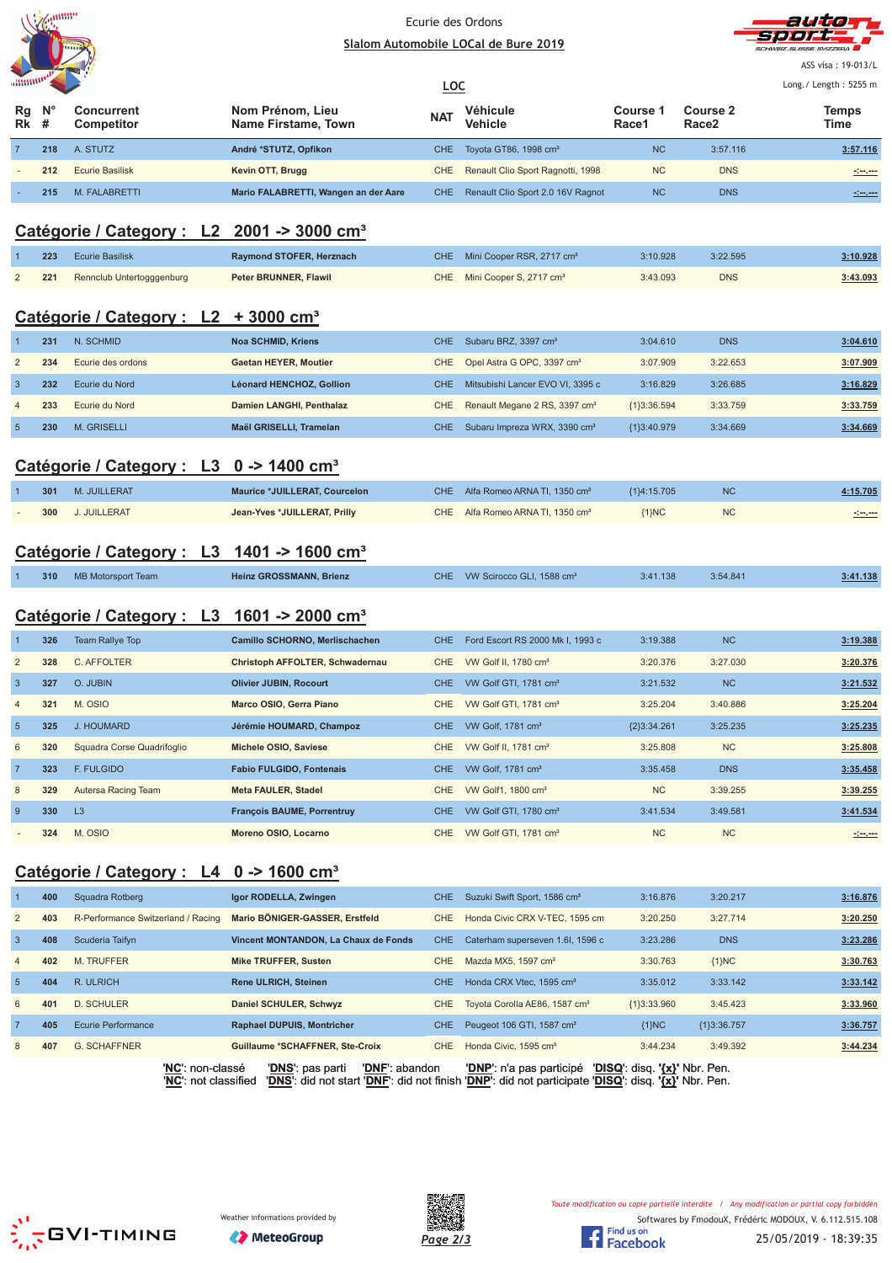



ASS visa: 19-013/L

| $\ldots$ $\ldots$ $\ldots$ |             |                                 |                                         | <u>LOC</u> |                                       | Long./ Length: 5255 m |                               |                     |
|----------------------------|-------------|---------------------------------|-----------------------------------------|------------|---------------------------------------|-----------------------|-------------------------------|---------------------|
| Rg<br><b>Rk</b> #          | $N^{\circ}$ | <b>Concurrent</b><br>Competitor | Nom Prénom, Lieu<br>Name Firstame, Town | <b>NAT</b> | Véhicule<br><b>Vehicle</b>            | Course<br>Race1       | Course 2<br>Race <sub>2</sub> | Temps<br>Time       |
|                            | 218         | A. STUTZ                        | André *STUTZ, Opfikon                   |            | CHE Toyota GT86, 1998 cm <sup>3</sup> | <b>NC</b>             | 3:57.116                      | 3:57.116            |
| $\sim$                     | 212         | Ecurie Basilisk                 | Kevin OTT, Brugg                        | CHE        | Renault Clio Sport Ragnotti, 1998     | <b>NC</b>             | <b>DNS</b>                    | <u>simens</u>       |
|                            | 215         | M. FALABRETTI                   | Mario FALABRETTI, Wangen an der Aare    | CHE.       | Renault Clio Sport 2.0 16V Ragnot     | <b>NC</b>             | <b>DNS</b>                    | <u> 1999 - 1999</u> |

### **Catégorie / Category : L2 2001 -> 3000 cm³**

|                | 223 | <b>Ecurie Basilisk</b>                              |                | Raymond STOFER, Herznach      | CHE.       | Mini Cooper RSR, 2717 cm <sup>3</sup>     | 3:10.928      | 3:22.595   | 3:10.928 |
|----------------|-----|-----------------------------------------------------|----------------|-------------------------------|------------|-------------------------------------------|---------------|------------|----------|
| $\overline{2}$ | 221 | Rennclub Untertogggenburg                           |                | Peter BRUNNER, Flawil         | <b>CHE</b> | Mini Cooper S, 2717 cm <sup>3</sup>       | 3:43.093      | <b>DNS</b> | 3:43.093 |
|                |     | Catégorie / Category :                              | L <sub>2</sub> | $+3000$ cm <sup>3</sup>       |            |                                           |               |            |          |
|                | 231 | N. SCHMID                                           |                | <b>Noa SCHMID, Kriens</b>     | <b>CHE</b> | Subaru BRZ, 3397 cm <sup>3</sup>          | 3:04.610      | <b>DNS</b> | 3:04.610 |
| $\overline{2}$ | 234 | Ecurie des ordons                                   |                | Gaetan HEYER, Moutier         | <b>CHE</b> | Opel Astra G OPC, 3397 cm <sup>3</sup>    | 3:07.909      | 3:22.653   | 3:07.909 |
| 3              | 232 | Ecurie du Nord                                      |                | Léonard HENCHOZ, Gollion      | <b>CHE</b> | Mitsubishi Lancer EVO VI, 3395 c          | 3:16.829      | 3:26.685   | 3:16.829 |
| $\overline{4}$ | 233 | Ecurie du Nord                                      |                | Damien LANGHI, Penthalaz      | CHE        | Renault Megane 2 RS, 3397 cm <sup>3</sup> | ${1}3:36.594$ | 3:33.759   | 3:33.759 |
| 5 <sup>5</sup> | 230 | <b>M. GRISELLI</b>                                  |                | Maël GRISELLI, Tramelan       | <b>CHE</b> | Subaru Impreza WRX, 3390 cm <sup>3</sup>  | {1}3:40.979   | 3:34.669   | 3:34.669 |
|                |     | Catégorie / Category : L3 0 -> 1400 cm <sup>3</sup> |                |                               |            |                                           |               |            |          |
|                | 301 | M. JUILLERAT                                        |                | Maurice *JUILLERAT, Courcelon | <b>CHE</b> | Alfa Romeo ARNA TI, 1350 cm <sup>3</sup>  | ${1}4:15.705$ | <b>NC</b>  | 4:15.705 |

### **Catégorie / Category : L3 1401 -> 1600 cm³**

|  | 310 | MB Motorsport Team | <b>Heinz GROSSMANN, Brienz</b> |  | CHE VW Scirocco GLI, 1588 cm <sup>3</sup> | 3:41.138 | 3:54.841 | 3:41.138 |
|--|-----|--------------------|--------------------------------|--|-------------------------------------------|----------|----------|----------|
|--|-----|--------------------|--------------------------------|--|-------------------------------------------|----------|----------|----------|

- **300** J. JUILLERAT **Jean-Yves \*JUILLERAT, Prilly** CHE Alfa Romeo ARNA TI, 1350 cm³ {1}NC NC **-:--.---**

## **Catégorie / Category : L3 1601 -> 2000 cm³**

|                | 326 | <b>Team Rallye Top</b>     | Camillo SCHORNO, Merlischachen    | CHE.       | Ford Escort RS 2000 Mk I, 1993 c  | 3:19.388      | <b>NC</b>  | 3:19.388                                                                                                             |
|----------------|-----|----------------------------|-----------------------------------|------------|-----------------------------------|---------------|------------|----------------------------------------------------------------------------------------------------------------------|
| $\overline{2}$ | 328 | C. AFFOLTER                | Christoph AFFOLTER, Schwadernau   | CHE.       | VW Golf II, 1780 cm <sup>3</sup>  | 3:20.376      | 3:27.030   | 3:20.376                                                                                                             |
| $\mathbf{3}$   | 327 | O. JUBIN                   | <b>Olivier JUBIN, Rocourt</b>     | CHE.       | VW Golf GTI, 1781 cm <sup>3</sup> | 3:21.532      | <b>NC</b>  | 3:21.532                                                                                                             |
| $\overline{4}$ | 321 | M. OSIO                    | Marco OSIO, Gerra Piano           | CHE        | VW Golf GTI, 1781 cm <sup>3</sup> | 3:25.204      | 3:40.886   | 3:25.204                                                                                                             |
| 5              | 325 | J. HOUMARD                 | Jérémie HOUMARD, Champoz          | CHE.       | VW Golf, 1781 cm <sup>3</sup>     | ${2}3:34.261$ | 3:25.235   | 3:25.235                                                                                                             |
| 6              | 320 | Squadra Corse Quadrifoglio | Michele OSIO, Saviese             | CHE.       | VW Golf II, 1781 cm <sup>3</sup>  | 3:25.808      | <b>NC</b>  | 3:25.808                                                                                                             |
| $\overline{7}$ | 323 | F. FULGIDO                 | <b>Fabio FULGIDO, Fontenais</b>   | CHE.       | VW Golf, 1781 cm <sup>3</sup>     | 3:35.458      | <b>DNS</b> | 3:35.458                                                                                                             |
| 8              | 329 | Autersa Racing Team        | <b>Meta FAULER, Stadel</b>        | CHE        | VW Golf1, 1800 cm <sup>3</sup>    | <b>NC</b>     | 3:39.255   | 3:39.255                                                                                                             |
| 9              | 330 | L3                         | <b>François BAUME, Porrentruy</b> | <b>CHE</b> | VW Golf GTI, 1780 cm <sup>3</sup> | 3:41.534      | 3:49.581   | 3:41.534                                                                                                             |
|                | 324 | M. OSIO                    | Moreno OSIO, Locarno              | CHE.       | VW Golf GTI, 1781 cm <sup>3</sup> | <b>NC</b>     | <b>NC</b>  | <u> 1999 - 1999 - 1999 - 1999 - 1999 - 1999 - 1999 - 1999 - 1999 - 1999 - 1999 - 1999 - 1999 - 1999 - 1999 - 199</u> |

### **Catégorie / Category : L4 0 -> 1600 cm³**

|                 | 400 | Squadra Rotberg                    | Igor RODELLA, Zwingen                  | CHE.       | Suzuki Swift Sport, 1586 cm <sup>3</sup>  | 3:16.876      | 3:20.217    | 3:16.876 |
|-----------------|-----|------------------------------------|----------------------------------------|------------|-------------------------------------------|---------------|-------------|----------|
| 2               | 403 | R-Performance Switzerland / Racing | Mario BÖNIGER-GASSER, Erstfeld         | <b>CHE</b> | Honda Civic CRX V-TEC, 1595 cm            | 3:20.250      | 3:27.714    | 3:20.250 |
| $\overline{3}$  | 408 | Scuderia Taifyn                    | Vincent MONTANDON, La Chaux de Fonds   | CHE.       | Caterham superseven 1.6I, 1596 c          | 3:23.286      | <b>DNS</b>  | 3:23.286 |
| $\overline{4}$  | 402 | <b>M. TRUFFER</b>                  | Mike TRUFFER, Susten                   | <b>CHE</b> | Mazda MX5, 1597 cm <sup>3</sup>           | 3:30.763      | ${1}NC$     | 3:30.763 |
| $5\overline{5}$ | 404 | R. ULRICH                          | <b>Rene ULRICH, Steinen</b>            | CHE.       | Honda CRX Vtec, 1595 cm <sup>3</sup>      | 3:35.012      | 3:33.142    | 3:33.142 |
| 6               | 401 | D. SCHULER                         | Daniel SCHULER, Schwyz                 | CHE.       | Toyota Corolla AE86, 1587 cm <sup>3</sup> | ${1}3:33.960$ | 3:45.423    | 3:33.960 |
| $\overline{7}$  | 405 | Ecurie Performance                 | <b>Raphael DUPUIS, Montricher</b>      | CHE.       | Peugeot 106 GTI, 1587 cm <sup>3</sup>     | $\{1\}NC$     | {1}3:36.757 | 3:36.757 |
| 8               | 407 | <b>G. SCHAFFNER</b>                | <b>Guillaume *SCHAFFNER, Ste-Croix</b> | CHE        | Honda Civic, 1595 cm <sup>3</sup>         | 3:44.234      | 3:49.392    | 3:44.234 |
|                 |     |                                    |                                        |            |                                           |               |             |          |

'**NC**': non-classé '**DNS**': pas parti '**DNF**': abandon '**DNP**': n'a pas participé '**DISQ**': disq. **'{x}'** Nbr. Pen. '**NC**': not classified '**DNS**': did not start '**DNF**': did not finish '**DNP**': did not participate '**DISQ**': disq. **'{x}'** Nbr. Pen.





Toute modification ou copie partielle interdite / Any modification or partial copy forbidden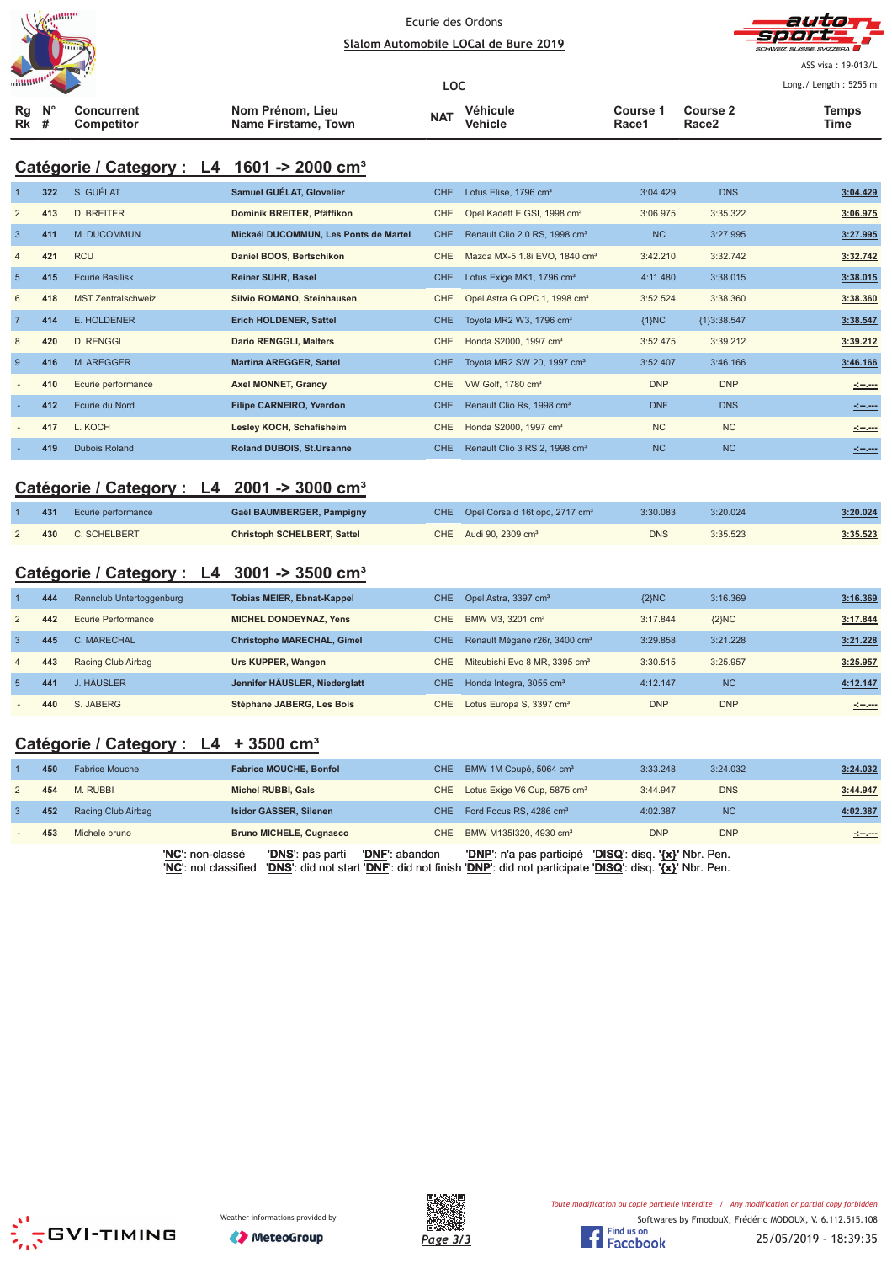



ASS visa: 19-013/L Long./ Length: 5255 m

|               |  |                                 |                                         | <u>LOC</u> |                     |                   |                                      | Long./ Length: 5255 r |  |
|---------------|--|---------------------------------|-----------------------------------------|------------|---------------------|-------------------|--------------------------------------|-----------------------|--|
| Ra N°<br>Rk # |  | Concurrent<br><b>Competitor</b> | Nom Prénom, Lieu<br>Name Firstame, Town | <b>NAT</b> | Véhicule<br>Vehicle | Course 1<br>Race1 | <b>Course 2</b><br>Race <sub>2</sub> | Temps<br>Time         |  |

### **Catégorie / Category : L4 1601 -> 2000 cm³**

|                | 322 | S. GUÉLAT                 | Samuel GUÉLAT, Glovelier              | <b>CHE</b> | Lotus Elise, 1796 cm <sup>3</sup>         | 3:04.429   | <b>DNS</b>    | 3:04.429           |
|----------------|-----|---------------------------|---------------------------------------|------------|-------------------------------------------|------------|---------------|--------------------|
| 2              | 413 | <b>D. BREITER</b>         | Dominik BREITER, Pfäffikon            | CHE        | Opel Kadett E GSI, 1998 cm <sup>3</sup>   | 3:06.975   | 3:35.322      | 3:06.975           |
| $\overline{3}$ | 411 | M. DUCOMMUN               | Mickaël DUCOMMUN, Les Ponts de Martel | CHE.       | Renault Clio 2.0 RS, 1998 cm <sup>3</sup> | <b>NC</b>  | 3:27.995      | 3:27.995           |
| $\overline{4}$ | 421 | <b>RCU</b>                | Daniel BOOS, Bertschikon              | CHE        | Mazda MX-5 1.8i EVO, 1840 cm <sup>3</sup> | 3:42.210   | 3:32.742      | 3:32.742           |
| 5              | 415 | <b>Ecurie Basilisk</b>    | <b>Reiner SUHR, Basel</b>             | <b>CHE</b> | Lotus Exige MK1, 1796 cm <sup>3</sup>     | 4:11.480   | 3:38.015      | 3:38.015           |
| 6              | 418 | <b>MST Zentralschweiz</b> | Silvio ROMANO, Steinhausen            | <b>CHE</b> | Opel Astra G OPC 1, 1998 cm <sup>3</sup>  | 3:52.524   | 3:38.360      | 3:38.360           |
| $\overline{7}$ | 414 | E. HOLDENER               | Erich HOLDENER, Sattel                | CHE        | Toyota MR2 W3, 1796 $cm3$                 | ${1}NC$    | ${1}3:38.547$ | 3:38.547           |
| 8              | 420 | <b>D. RENGGLI</b>         | <b>Dario RENGGLI, Malters</b>         | <b>CHE</b> | Honda S2000, 1997 cm <sup>3</sup>         | 3:52.475   | 3:39.212      | 3:39.212           |
| 9              | 416 | <b>M. AREGGER</b>         | <b>Martina AREGGER, Sattel</b>        | <b>CHE</b> | Toyota MR2 SW 20, 1997 cm <sup>3</sup>    | 3:52.407   | 3:46.166      | 3:46.166           |
|                | 410 | Ecurie performance        | <b>Axel MONNET, Grancy</b>            | <b>CHE</b> | VW Golf, 1780 cm <sup>3</sup>             | <b>DNP</b> | <b>DNP</b>    | <u> 1000 - 100</u> |
|                | 412 | Ecurie du Nord            | <b>Filipe CARNEIRO, Yverdon</b>       | CHE        | Renault Clio Rs, 1998 cm <sup>3</sup>     | <b>DNF</b> | <b>DNS</b>    | <u>almost</u>      |
|                | 417 | L. KOCH                   | Lesley KOCH, Schafisheim              | CHE.       | Honda S2000, 1997 cm <sup>3</sup>         | <b>NC</b>  | <b>NC</b>     | $20 - 20$          |
|                | 419 | <b>Dubois Roland</b>      | <b>Roland DUBOIS, St.Ursanne</b>      | CHE        | Renault Clio 3 RS 2, 1998 cm <sup>3</sup> | <b>NC</b>  | <b>NC</b>     | ringer             |

# **Catégorie / Category : L4 2001 -> 3000 cm³**

| 431 | Ecurie performance | Gaël BAUMBERGER, Pampigny          | CHE Opel Corsa d 16t opc, 2717 cm <sup>3</sup> | 3:30.083   | 3:20.024 | 3:20.024 |
|-----|--------------------|------------------------------------|------------------------------------------------|------------|----------|----------|
| 430 | C. SCHELBERT       | <b>Christoph SCHELBERT, Sattel</b> | CHE Audi 90, 2309 cm <sup>3</sup>              | <b>DNS</b> | 3:35.523 | 3:35.523 |

### **Catégorie / Category : L4 3001 -> 3500 cm³**

|                | 444 | Rennclub Untertoggenburg | <b>Tobias MEIER, Ebnat-Kappel</b> | <b>CHE</b> | Opel Astra, 3397 cm <sup>3</sup>          | ${2}NC$    | 3:16.369   | 3:16.369 |
|----------------|-----|--------------------------|-----------------------------------|------------|-------------------------------------------|------------|------------|----------|
| 2              | 442 | Ecurie Performance       | <b>MICHEL DONDEYNAZ, Yens</b>     | CHE        | BMW M3, 3201 cm <sup>3</sup>              | 3:17.844   | ${2}NC$    | 3:17.844 |
| $\mathbf{3}$   | 445 | C. MARECHAL              | <b>Christophe MARECHAL, Gimel</b> | CHE.       | Renault Mégane r26r, 3400 cm <sup>3</sup> | 3:29.858   | 3:21.228   | 3:21.228 |
| $\overline{4}$ | 443 | Racing Club Airbag       | Urs KUPPER, Wangen                | CHE        | Mitsubishi Evo 8 MR, 3395 cm <sup>3</sup> | 3:30.515   | 3:25.957   | 3:25.957 |
| -5             | 441 | J. HÄUSLER               | Jennifer HÄUSLER, Niederglatt     | CHE.       | Honda Integra, 3055 cm <sup>3</sup>       | 4:12.147   | <b>NC</b>  | 4:12.147 |
|                | 440 | S. JABERG                | Stéphane JABERG, Les Bois         | CHE        | Lotus Europa S, 3397 cm <sup>3</sup>      | <b>DNP</b> | <b>DNP</b> |          |

### **Catégorie / Category : L4 + 3500 cm³**

| 450 | <b>Fabrice Mouche</b> |                  | <b>Fabrice MOUCHE, Bonfol</b>  | CHE.           | BMW 1M Coupé, 5064 cm <sup>3</sup>           | 3:33.248                      | 3:24.032   | 3:24.032      |
|-----|-----------------------|------------------|--------------------------------|----------------|----------------------------------------------|-------------------------------|------------|---------------|
| 454 | M. RUBBI              |                  | Michel RUBBI, Gals             |                | CHE Lotus Exige V6 Cup, 5875 cm <sup>3</sup> | 3:44.947                      | <b>DNS</b> | 3:44.947      |
| 452 | Racing Club Airbag    |                  | <b>Isidor GASSER, Silenen</b>  | CHE.           | Ford Focus RS, 4286 cm <sup>3</sup>          | 4:02.387                      | <b>NC</b>  | 4:02.387      |
| 453 | Michele bruno         |                  | <b>Bruno MICHELE, Cugnasco</b> | CHE            | BMW M1351320, 4930 cm <sup>3</sup>           | <b>DNP</b>                    | <b>DNP</b> | <u>simens</u> |
|     |                       | 'NC': non-classé | 'DNS': pas parti               | 'DNF': abandon | 'DNP': n'a pas participé                     | 'DISQ': disq. '{x}' Nbr. Pen. |            |               |





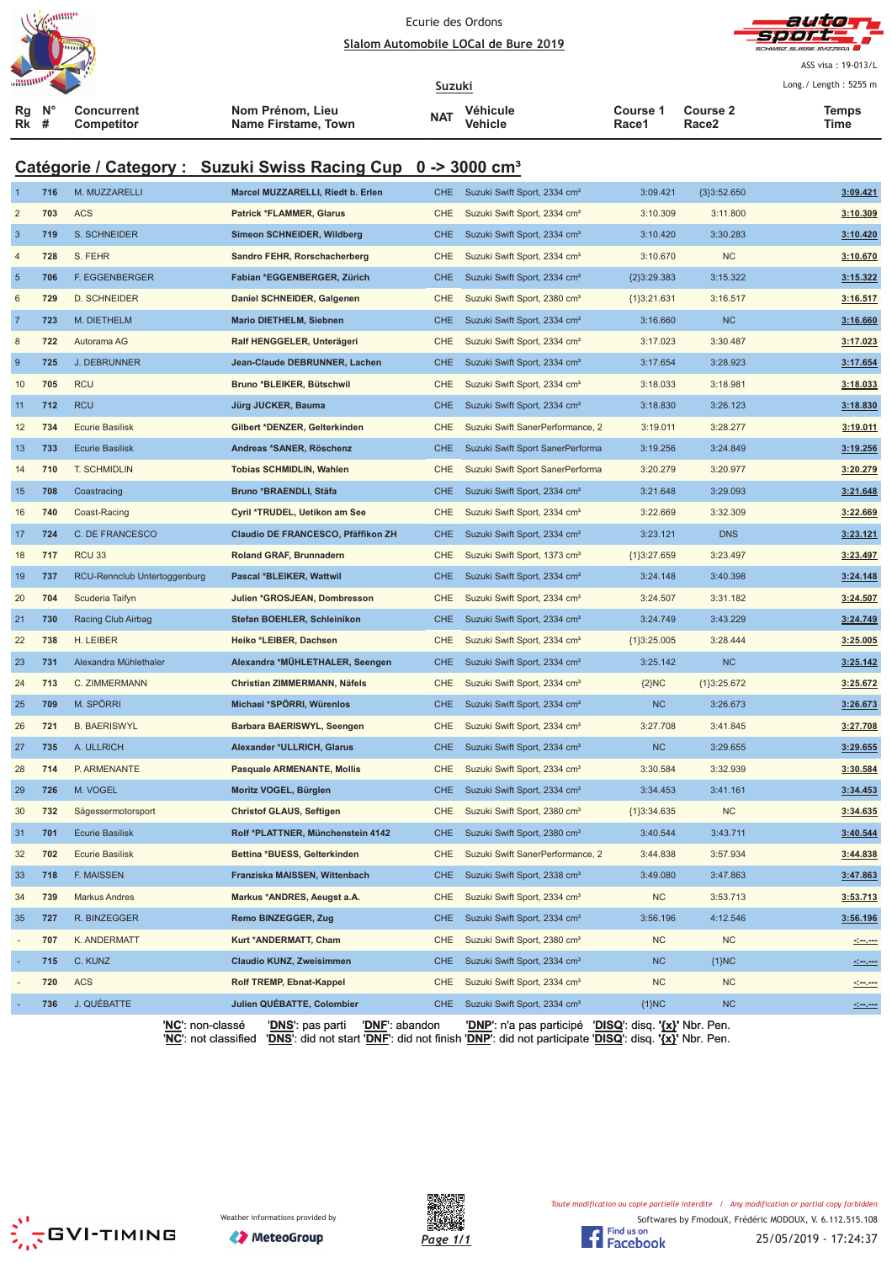

|                                                                          |                  |                                 |                                             |               |                                                                                   |                   |                          | ASS visa: 19-013/L                     |  |  |  |  |
|--------------------------------------------------------------------------|------------------|---------------------------------|---------------------------------------------|---------------|-----------------------------------------------------------------------------------|-------------------|--------------------------|----------------------------------------|--|--|--|--|
| Rg<br>Rk                                                                 | $N^{\circ}$<br># | <b>Concurrent</b><br>Competitor | Nom Prénom, Lieu<br>Name Firstame, Town     | Suzuki<br>NAT | Véhicule<br>Vehicle                                                               | Course 1<br>Race1 | <b>Course 2</b><br>Race2 | Long./ Length: 5255 m<br>Temps<br>Time |  |  |  |  |
|                                                                          |                  |                                 |                                             |               |                                                                                   |                   |                          |                                        |  |  |  |  |
| Catégorie / Category : Suzuki Swiss Racing Cup 0 -> 3000 cm <sup>3</sup> |                  |                                 |                                             |               |                                                                                   |                   |                          |                                        |  |  |  |  |
|                                                                          | 716              | M. MUZZARELLI                   | Marcel MUZZARELLI, Riedt b. Erlen           | CHE           | Suzuki Swift Sport, 2334 cm <sup>3</sup>                                          | 3:09.421          | ${3}3:52.650$            | 3:09.421                               |  |  |  |  |
| $\overline{2}$                                                           | 703              | <b>ACS</b>                      | <b>Patrick *FLAMMER, Glarus</b>             | <b>CHE</b>    | Suzuki Swift Sport, 2334 cm <sup>3</sup>                                          | 3:10.309          | 3:11.800                 | 3:10.309                               |  |  |  |  |
| $\mathbf{3}$                                                             | 719              | S. SCHNEIDER                    | Simeon SCHNEIDER, Wildberg                  | <b>CHE</b>    | Suzuki Swift Sport, 2334 cm <sup>3</sup>                                          | 3:10.420          | 3:30.283                 | 3:10.420                               |  |  |  |  |
| $\overline{4}$                                                           | 728              | S. FEHR                         | Sandro FEHR, Rorschacherberg                | <b>CHE</b>    | Suzuki Swift Sport, 2334 cm <sup>3</sup>                                          | 3:10.670          | <b>NC</b>                | 3:10.670                               |  |  |  |  |
| $\sqrt{5}$                                                               | 706              | <b>F. EGGENBERGER</b>           | Fabian *EGGENBERGER, Zürich                 | <b>CHE</b>    | Suzuki Swift Sport, 2334 cm <sup>3</sup>                                          | {2}3:29.383       | 3:15.322                 | 3:15.322                               |  |  |  |  |
| 6                                                                        | 729              | <b>D. SCHNEIDER</b>             | Daniel SCHNEIDER, Galgenen                  | <b>CHE</b>    | Suzuki Swift Sport, 2380 cm <sup>3</sup>                                          | ${1}3:21.631$     | 3:16.517                 | 3:16.517                               |  |  |  |  |
| $\overline{7}$                                                           | 723              | M. DIETHELM                     | <b>Mario DIETHELM, Siebnen</b>              | <b>CHE</b>    | Suzuki Swift Sport, 2334 cm <sup>3</sup>                                          | 3:16.660          | NC                       | 3:16.660                               |  |  |  |  |
| 8                                                                        | 722              | Autorama AG                     | Ralf HENGGELER, Unterägeri                  | <b>CHE</b>    | Suzuki Swift Sport, 2334 cm <sup>3</sup>                                          | 3:17.023          | 3:30.487                 | 3:17.023                               |  |  |  |  |
| 9                                                                        | 725              | <b>J. DEBRUNNER</b>             | Jean-Claude DEBRUNNER, Lachen               | <b>CHE</b>    | Suzuki Swift Sport, 2334 cm <sup>3</sup>                                          | 3:17.654          | 3:28.923                 | 3:17.654                               |  |  |  |  |
| 10                                                                       | 705              | <b>RCU</b>                      | Bruno *BLEIKER, Bütschwil                   | <b>CHE</b>    | Suzuki Swift Sport, 2334 cm <sup>3</sup>                                          | 3:18.033          | 3:18.981                 | 3:18.033                               |  |  |  |  |
| 11                                                                       | 712              | <b>RCU</b>                      | Jürg JUCKER, Bauma                          | <b>CHE</b>    | Suzuki Swift Sport, 2334 cm <sup>3</sup>                                          | 3:18.830          | 3:26.123                 | 3:18.830                               |  |  |  |  |
| 12                                                                       | 734              | <b>Ecurie Basilisk</b>          | Gilbert *DENZER, Gelterkinden               | <b>CHE</b>    | Suzuki Swift SanerPerformance, 2                                                  | 3:19.011          | 3:28.277                 | 3:19.011                               |  |  |  |  |
| 13                                                                       | 733              | <b>Ecurie Basilisk</b>          | Andreas *SANER, Röschenz                    | <b>CHE</b>    | Suzuki Swift Sport SanerPerforma                                                  | 3:19.256          | 3:24.849                 | 3:19.256                               |  |  |  |  |
| 14                                                                       | 710              | T. SCHMIDLIN                    | <b>Tobias SCHMIDLIN, Wahlen</b>             | <b>CHE</b>    | Suzuki Swift Sport SanerPerforma                                                  | 3:20.279          | 3:20.977                 | 3:20.279                               |  |  |  |  |
| 15                                                                       | 708              | Coastracing                     | Bruno *BRAENDLI, Stäfa                      | <b>CHE</b>    | Suzuki Swift Sport, 2334 cm <sup>3</sup>                                          | 3:21.648          | 3:29.093                 | 3:21.648                               |  |  |  |  |
| 16                                                                       | 740              | Coast-Racing                    | Cyril *TRUDEL, Uetikon am See               | CHE           | Suzuki Swift Sport, 2334 cm <sup>3</sup>                                          | 3:22.669          | 3:32.309                 | 3:22.669                               |  |  |  |  |
| 17                                                                       | 724              | C. DE FRANCESCO                 | Claudio DE FRANCESCO, Pfäffikon ZH          | <b>CHE</b>    | Suzuki Swift Sport, 2334 cm <sup>3</sup>                                          | 3:23.121          | <b>DNS</b>               | 3:23.121                               |  |  |  |  |
| 18                                                                       | 717              | RCU <sub>33</sub>               | Roland GRAF, Brunnadern                     | <b>CHE</b>    | Suzuki Swift Sport, 1373 cm <sup>3</sup>                                          | ${1}3:27.659$     | 3:23.497                 | 3:23.497                               |  |  |  |  |
| 19                                                                       | 737              | RCU-Rennclub Untertoggenburg    | Pascal *BLEIKER, Wattwil                    | <b>CHE</b>    | Suzuki Swift Sport, 2334 cm <sup>3</sup>                                          | 3:24.148          | 3:40.398                 | 3:24.148                               |  |  |  |  |
| 20                                                                       | 704              | Scuderia Taifyn                 | Julien *GROSJEAN, Dombresson                | <b>CHE</b>    | Suzuki Swift Sport, 2334 cm <sup>3</sup>                                          | 3:24.507          | 3:31.182                 | 3:24.507                               |  |  |  |  |
| 21                                                                       | 730              | Racing Club Airbag              | Stefan BOEHLER, Schleinikon                 | <b>CHE</b>    | Suzuki Swift Sport, 2334 cm <sup>3</sup>                                          | 3:24.749          | 3:43.229                 | 3:24.749                               |  |  |  |  |
| 22                                                                       | 738              | H. LEIBER                       | Heiko *LEIBER, Dachsen                      | <b>CHE</b>    | Suzuki Swift Sport, 2334 cm <sup>3</sup>                                          | ${1}3:25.005$     | 3:28.444                 | 3:25.005                               |  |  |  |  |
| 23                                                                       | 731              | Alexandra Mühlethaler           | Alexandra *MÜHLETHALER, Seengen             | <b>CHE</b>    | Suzuki Swift Sport, 2334 cm <sup>3</sup>                                          | 3:25.142          | NC                       | 3:25.142                               |  |  |  |  |
| 24                                                                       | 713              | C. ZIMMERMANN                   | Christian ZIMMERMANN, Näfels                | <b>CHE</b>    | Suzuki Swift Sport, 2334 cm <sup>3</sup>                                          | ${2}NC$           | ${1}3:25.672$            | 3:25.672                               |  |  |  |  |
| 25                                                                       | 709              | M. SPÖRRI                       | Michael *SPÖRRI, Würenlos                   | CHE           | Suzuki Swift Sport, 2334 cm <sup>3</sup>                                          | <b>NC</b>         | 3:26.673                 | 3:26.673                               |  |  |  |  |
| 26                                                                       | 721              | <b>B. BAERISWYL</b>             | Barbara BAERISWYL, Seengen                  | CHE           | Suzuki Swift Sport, 2334 cm <sup>3</sup>                                          | 3:27.708          | 3:41.845                 | 3:27.708                               |  |  |  |  |
| 27                                                                       | 735              | A. ULLRICH                      | Alexander *ULLRICH, Glarus                  | <b>CHE</b>    | Suzuki Swift Sport, 2334 cm <sup>3</sup>                                          | NC                | 3:29.655                 | 3:29.655                               |  |  |  |  |
| 28                                                                       | 714              | P. ARMENANTE                    | <b>Pasquale ARMENANTE, Mollis</b>           | CHE           | Suzuki Swift Sport, 2334 cm <sup>3</sup>                                          | 3:30.584          | 3:32.939                 | 3:30.584                               |  |  |  |  |
| 29                                                                       | 726              | M. VOGEL                        | Moritz VOGEL, Bürglen                       | <b>CHE</b>    | Suzuki Swift Sport, 2334 cm <sup>3</sup>                                          | 3:34.453          | 3:41.161                 | 3:34.453                               |  |  |  |  |
| 30                                                                       | 732              | Sägessermotorsport              | <b>Christof GLAUS, Seftigen</b>             | <b>CHE</b>    | Suzuki Swift Sport, 2380 cm <sup>3</sup>                                          | ${1}3:34.635$     | <b>NC</b>                | 3:34.635                               |  |  |  |  |
| 31                                                                       | 701              | <b>Ecurie Basilisk</b>          | Rolf *PLATTNER, Münchenstein 4142           | <b>CHE</b>    | Suzuki Swift Sport, 2380 cm <sup>3</sup>                                          | 3:40.544          | 3:43.711                 | 3:40.544                               |  |  |  |  |
| 32                                                                       | 702              | <b>Ecurie Basilisk</b>          | Bettina *BUESS, Gelterkinden                | CHE           | Suzuki Swift SanerPerformance, 2                                                  | 3:44.838          | 3:57.934                 | 3:44.838                               |  |  |  |  |
| 33                                                                       | 718              | F. MAISSEN                      | Franziska MAISSEN, Wittenbach               | <b>CHE</b>    | Suzuki Swift Sport, 2338 cm <sup>3</sup>                                          | 3:49.080          | 3:47.863                 | 3:47.863                               |  |  |  |  |
| 34                                                                       | 739              | <b>Markus Andres</b>            | Markus *ANDRES, Aeugst a.A.                 | CHE           | Suzuki Swift Sport, 2334 cm <sup>3</sup>                                          | <b>NC</b>         | 3:53.713                 | 3:53.713                               |  |  |  |  |
| 35                                                                       | 727              | R. BINZEGGER                    | Remo BINZEGGER, Zug                         | <b>CHE</b>    | Suzuki Swift Sport, 2334 cm <sup>3</sup>                                          | 3:56.196          | 4:12.546                 | 3:56.196                               |  |  |  |  |
|                                                                          | 707              | K. ANDERMATT                    | Kurt *ANDERMATT, Cham                       | CHE           | Suzuki Swift Sport, 2380 cm <sup>3</sup>                                          | <b>NC</b>         | <b>NC</b>                | سيست                                   |  |  |  |  |
|                                                                          | 715              | C. KUNZ                         | <b>Claudio KUNZ, Zweisimmen</b>             | <b>CHE</b>    | Suzuki Swift Sport, 2334 cm <sup>3</sup>                                          | <b>NC</b>         | ${1}NC$                  |                                        |  |  |  |  |
|                                                                          | 720              | <b>ACS</b>                      | Rolf TREMP, Ebnat-Kappel                    | <b>CHE</b>    | Suzuki Swift Sport, 2334 cm <sup>3</sup>                                          | <b>NC</b>         | <b>NC</b>                |                                        |  |  |  |  |
|                                                                          | 736              | J. QUÉBATTE                     | Julien QUÉBATTE, Colombier                  | <b>CHE</b>    | Suzuki Swift Sport, 2334 cm <sup>3</sup>                                          | ${1}NC$           | NC                       |                                        |  |  |  |  |
|                                                                          |                  | ' <b>NC'</b> : non-classé       | 'DNF': abandon<br>' <u>DNS</u> ': pas parti |               | ' <u>DNP'</u> : n'a pas participé ' <u>DISQ</u> ': disq. ' <u>{x}</u> ' Nbr. Pen. |                   |                          |                                        |  |  |  |  |



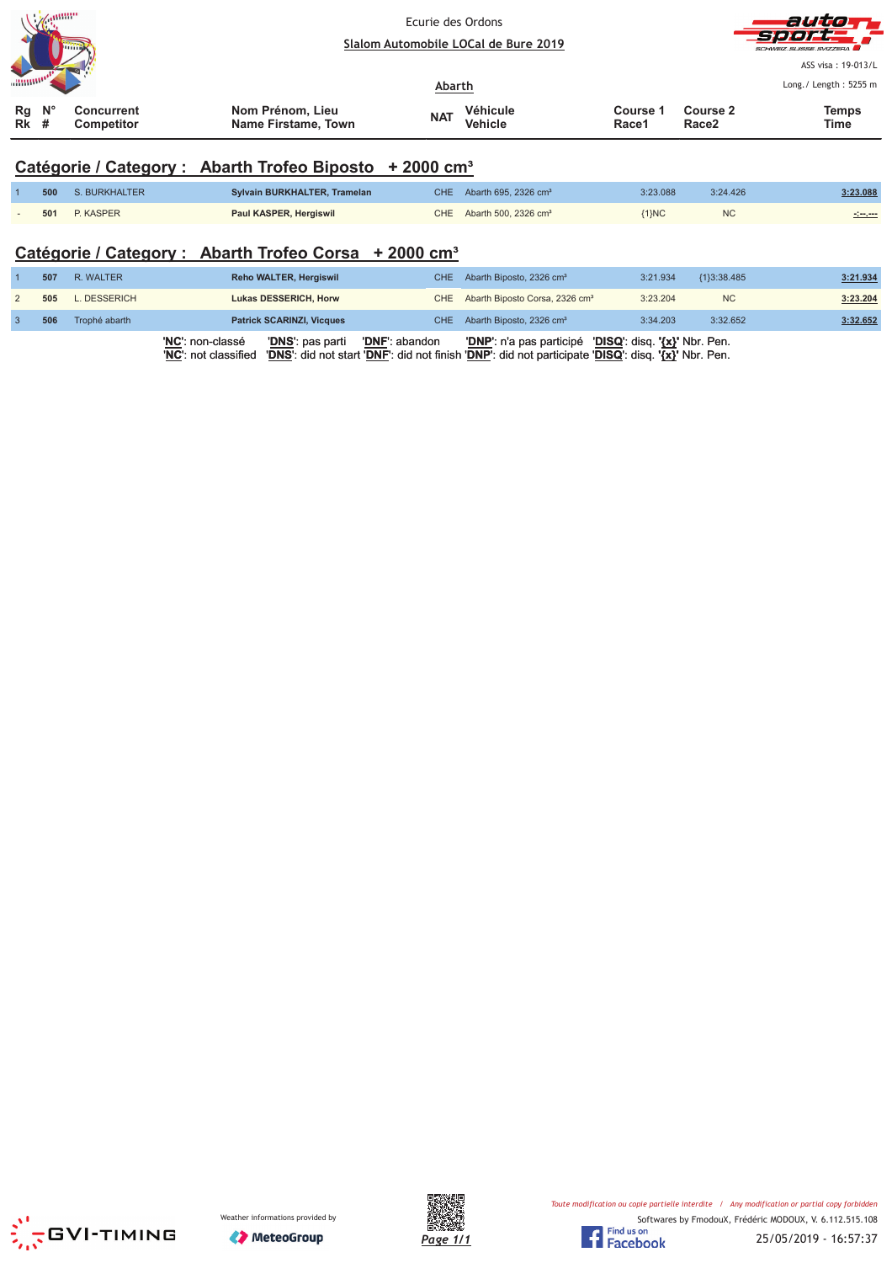| <b>Z</b> emma                                                          |                                         | Ecurie des Ordons<br>Slalom Automobile LOCal de Bure 2019 |                   |                   | auto<br>-Sport<br>SCHWEIZ SUISSE SVIZZERA   |
|------------------------------------------------------------------------|-----------------------------------------|-----------------------------------------------------------|-------------------|-------------------|---------------------------------------------|
|                                                                        |                                         | Abarth                                                    |                   |                   | ASS visa: 19-013/L<br>Long./ Length: 5255 m |
| $\mathsf{N}^\circ$<br>Rg<br><b>Concurrent</b><br>Rk<br>Competitor<br># | Nom Prénom, Lieu<br>Name Firstame, Town | Véhicule<br><b>NAT</b><br><b>Vehicle</b>                  | Course 1<br>Race1 | Course 2<br>Race2 | <b>Temps</b><br>Time                        |

# **Catégorie / Category : Abarth Trofeo Biposto + 2000 cm³**

|     | 500 S. BURKHALTER | Sylvain BURKHALTER, Tramelan | CHE Abarth 695, 2326 $cm3$ | 3:23.088 | 3:24.426  | 3:23.088         |
|-----|-------------------|------------------------------|----------------------------|----------|-----------|------------------|
| 501 | P. KASPER         | Paul KASPER, Hergiswil       | CHE Abarth 500, 2326 $cm3$ | $1\}NC$  | <b>NC</b> | and any property |

### **Catégorie / Category : Abarth Trofeo Corsa + 2000 cm³**

| 507 | R. WALTER     | Reho WALTER, Hergiswil                                                                         | CHE Abarth Biposto, 2326 cm <sup>3</sup>                                                                                                                      | 3:21.934 | ${13:38.485}$ | 3:21.934 |
|-----|---------------|------------------------------------------------------------------------------------------------|---------------------------------------------------------------------------------------------------------------------------------------------------------------|----------|---------------|----------|
| 505 | L. DESSERICH  | Lukas DESSERICH, Horw                                                                          | CHE Abarth Biposto Corsa, 2326 cm <sup>3</sup>                                                                                                                | 3:23.204 | <b>NC</b>     | 3:23.204 |
| 506 | Trophé abarth | <b>Patrick SCARINZI, Vicques</b>                                                               | CHE Abarth Biposto, 2326 cm <sup>3</sup>                                                                                                                      | 3:34.203 | 3:32.652      | 3:32.652 |
|     |               | ' <b>NC</b> ': non-classé<br>'DNS': pas parti<br><b>'DNF':</b> abandon<br>'NC': not classified | 'DNP': n'a pas participé 'DISQ': disq. '{x}' Nbr. Pen.<br>'DNS': did not start 'DNF': did not finish 'DNP': did not participate 'DISQ': disq. '{x}' Nbr. Pen. |          |               |          |





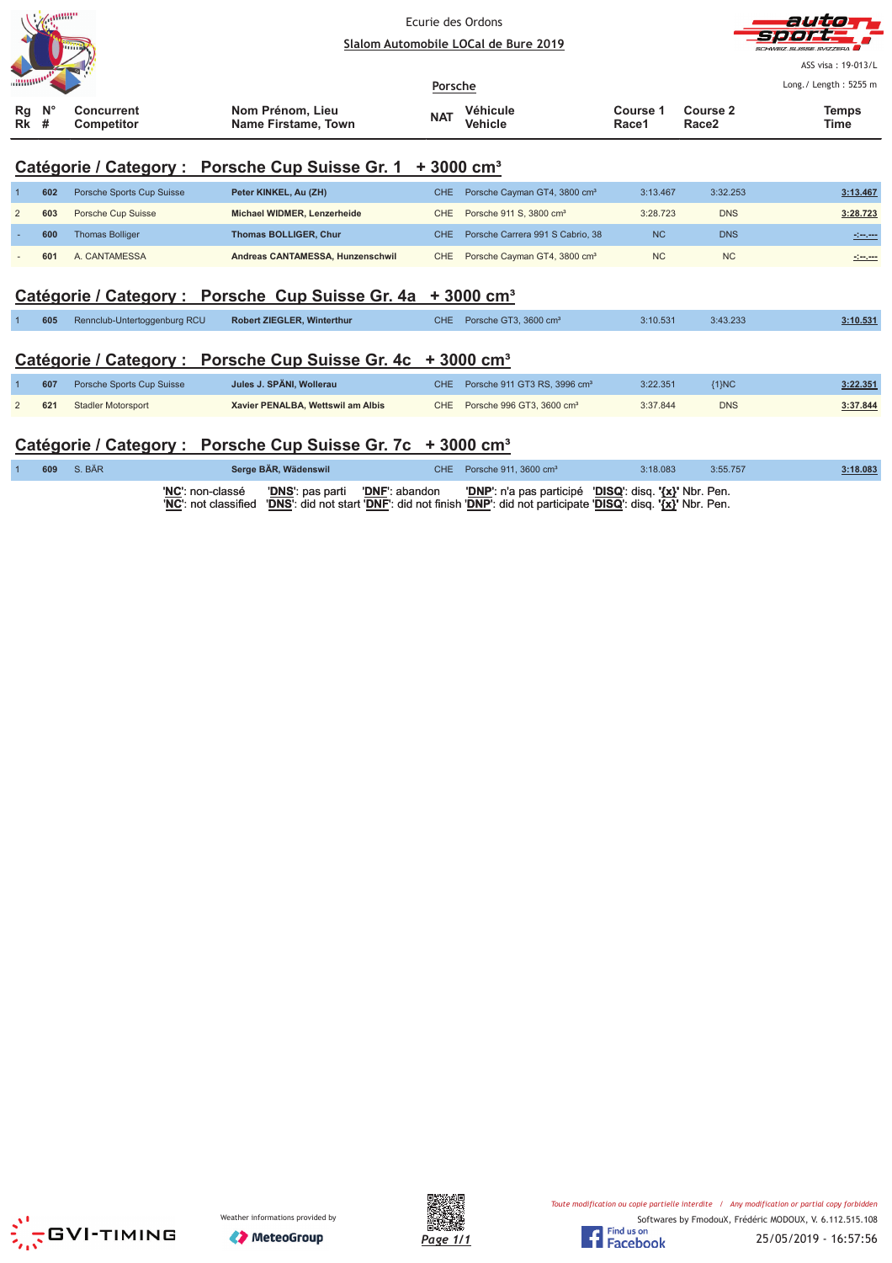



ASS visa: 19-013/L Lorent Loretti - FOEF -

|                        | <b>The Common Service Common Service</b> |                          | Porsche                                 |            |                     |                   | LUIR./ LEIRUI . JAJJ II  |               |
|------------------------|------------------------------------------|--------------------------|-----------------------------------------|------------|---------------------|-------------------|--------------------------|---------------|
| $Rq$ $N^{\circ}$<br>Rk |                                          | Concurrent<br>Competitor | Nom Prénom. Lieu<br>Name Firstame, Town | <b>NAT</b> | Véhicule<br>Vehicle | Course 1<br>Race1 | <b>Course 2</b><br>Race2 | Temps<br>Time |

 $\mathbf{r}$ 

### **Catégorie / Category : Porsche Cup Suisse Gr. 1 + 3000 cm³**

| 602 | Porsche Sports Cup Suisse | Peter KINKEL, Au (ZH)            | CHE Porsche Cayman GT4, 3800 cm <sup>3</sup> | 3:13.467  | 3:32.253   | 3:13.467            |
|-----|---------------------------|----------------------------------|----------------------------------------------|-----------|------------|---------------------|
| 603 | Porsche Cup Suisse        | Michael WIDMER, Lenzerheide      | CHE Porsche 911 S. 3800 cm <sup>3</sup>      | 3:28.723  | <b>DNS</b> | 3:28.723            |
| 600 | <b>Thomas Bolliger</b>    | <b>Thomas BOLLIGER, Chur</b>     | CHE Porsche Carrera 991 S Cabrio, 38         | <b>NC</b> | <b>DNS</b> | <u> 1999 - 1999</u> |
| 601 | A. CANTAMESSA             | Andreas CANTAMESSA, Hunzenschwil | CHE Porsche Cayman GT4, 3800 cm <sup>3</sup> | <b>NC</b> | <b>NC</b>  |                     |

### Catégorie / Category : Porsche Cup Suisse Gr. 4a + 3000 cm<sup>3</sup>

| 605 | Rennclub-Untertoggenburg RCU | Robert ZIEGLER, Winterthur | CHE. | Porsche GT3, 3600 cm <sup>3</sup> | 3:10.531 | 3:43.233 | 3:10.531 |
|-----|------------------------------|----------------------------|------|-----------------------------------|----------|----------|----------|
|     |                              |                            |      |                                   |          |          |          |

### **Catégorie / Category : Porsche Cup Suisse Gr. 4c + 3000 cm³**

| 607 | Porsche Sports Cup Suisse | Jules J. SPÄNI. Wollerau          | CHE Porsche 911 GT3 RS, 3996 cm <sup>3</sup> | 3:22.351 | ${1}NC$    | 3:22.351 |
|-----|---------------------------|-----------------------------------|----------------------------------------------|----------|------------|----------|
| 621 | <b>Stadler Motorsport</b> | Xavier PENALBA, Wettswil am Albis | CHE Porsche 996 GT3, 3600 cm <sup>3</sup>    | 3:37.844 | <b>DNS</b> | 3:37.844 |

### **Catégorie / Category : Porsche Cup Suisse Gr. 7c + 3000 cm³**

| 609 | S. BÄR |                  | Serge BÄR, Wädenswil                          | CHE Porsche 911, 3600 $cm3$                                                                                                                                                                          | 3:18.083 | 3:55.757 | 3:18.083 |
|-----|--------|------------------|-----------------------------------------------|------------------------------------------------------------------------------------------------------------------------------------------------------------------------------------------------------|----------|----------|----------|
|     |        | 'NC': non-classé | <b>'DNS':</b> pas parti <b>'DNF':</b> abandon | <b>'DNP'</b> : n'a pas participé <b>'DISQ'</b> : disq. '{x}' Nbr. Pen.<br>'NC': not classified   'DNS': did not start 'DNF': did not finish 'DNP': did not participate 'DISQ': disq. '{x}' Nbr. Pen. |          |          |          |





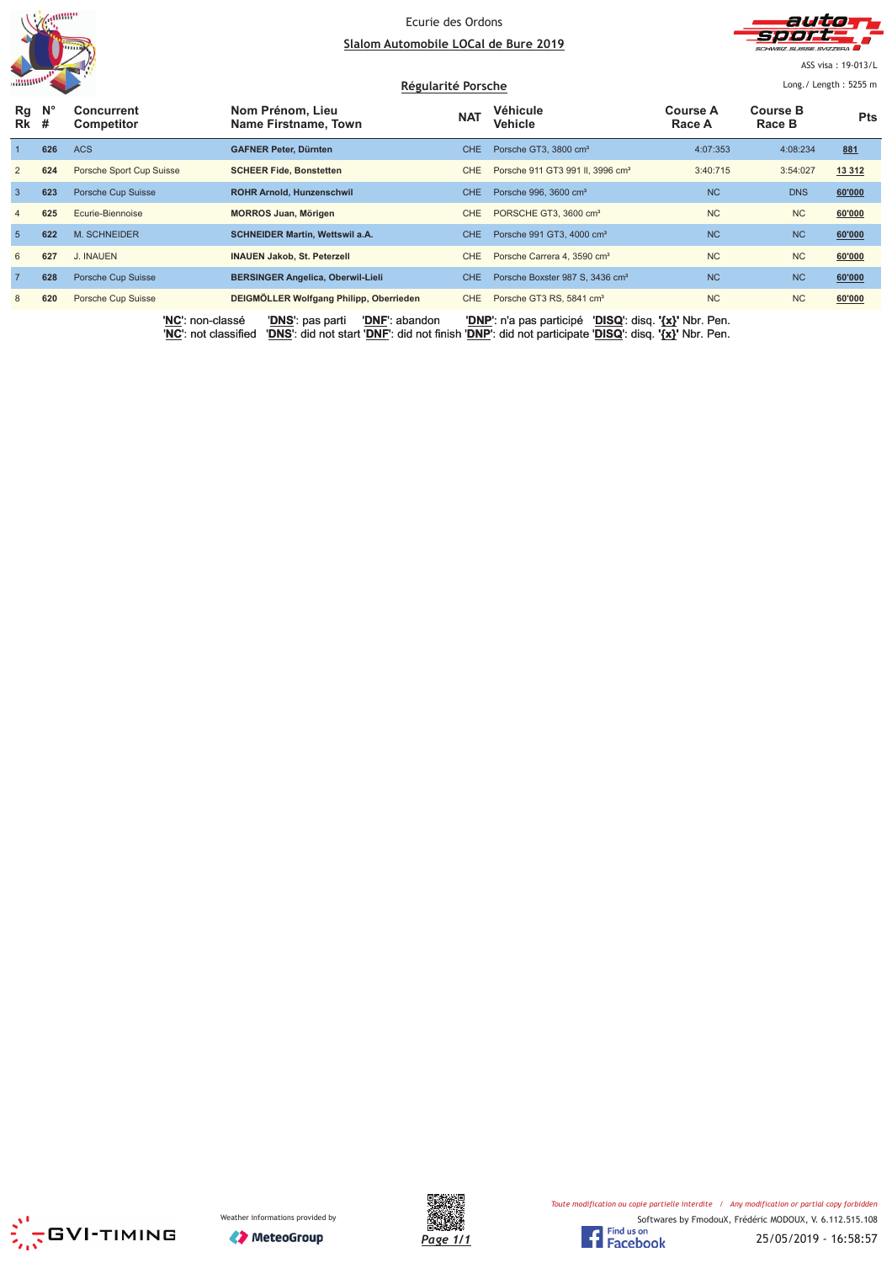



ASS visa: 19-013/L

| <b><i><u>ARTISTS</u></i></b> |             |                                        |                                          | Régularité Porsche |                                              |                               | Long. / Length: $5255$ m  |            |  |
|------------------------------|-------------|----------------------------------------|------------------------------------------|--------------------|----------------------------------------------|-------------------------------|---------------------------|------------|--|
| Rg<br>$Rk$ #                 | $N^{\circ}$ | <b>Concurrent</b><br><b>Competitor</b> | Nom Prénom, Lieu<br>Name Firstname, Town | <b>NAT</b>         | Véhicule<br><b>Vehicle</b>                   | Course A<br>Race A            | <b>Course B</b><br>Race B | <b>Pts</b> |  |
|                              | 626         | <b>ACS</b>                             | <b>GAFNER Peter, Dürnten</b>             | CHE.               | Porsche GT3, 3800 cm <sup>3</sup>            | 4:07:353                      | 4:08:234                  | 881        |  |
| 2                            | 624         | Porsche Sport Cup Suisse               | <b>SCHEER Fide, Bonstetten</b>           | <b>CHE</b>         | Porsche 911 GT3 991 II, 3996 cm <sup>3</sup> | 3:40:715                      | 3:54:027                  | 13 3 12    |  |
| $\mathbf{3}$                 | 623         | Porsche Cup Suisse                     | <b>ROHR Arnold, Hunzenschwil</b>         | CHE.               | Porsche 996, 3600 cm <sup>3</sup>            | <b>NC</b>                     | <b>DNS</b>                | 60'000     |  |
| $\overline{4}$               | 625         | Ecurie-Biennoise                       | <b>MORROS Juan, Mörigen</b>              | CHE                | PORSCHE GT3, 3600 cm <sup>3</sup>            | <b>NC</b>                     | <b>NC</b>                 | 60'000     |  |
| 5                            | 622         | M. SCHNEIDER                           | <b>SCHNEIDER Martin, Wettswil a.A.</b>   | CHE.               | Porsche 991 GT3, 4000 cm <sup>3</sup>        | <b>NC</b>                     | <b>NC</b>                 | 60'000     |  |
| 6                            | 627         | J. INAUEN                              | <b>INAUEN Jakob, St. Peterzell</b>       | CHE                | Porsche Carrera 4, 3590 cm <sup>3</sup>      | <b>NC</b>                     | <b>NC</b>                 | 60'000     |  |
| $\overline{7}$               | 628         | Porsche Cup Suisse                     | <b>BERSINGER Angelica, Oberwil-Lieli</b> | CHE.               | Porsche Boxster 987 S, 3436 cm <sup>3</sup>  | <b>NC</b>                     | <b>NC</b>                 | 60'000     |  |
| 8                            | 620         | Porsche Cup Suisse                     | DEIGMÖLLER Wolfgang Philipp, Oberrieden  | CHE                | Porsche GT3 RS, 5841 cm <sup>3</sup>         | <b>NC</b>                     | <b>NC</b>                 | 60'000     |  |
|                              |             | 'NC': non-classé                       | 'DNF': abandon<br>'DNS': pas parti       |                    | 'DNP': n'a pas participé                     | 'DISQ': disq. '{x}' Nbr. Pen. |                           |            |  |





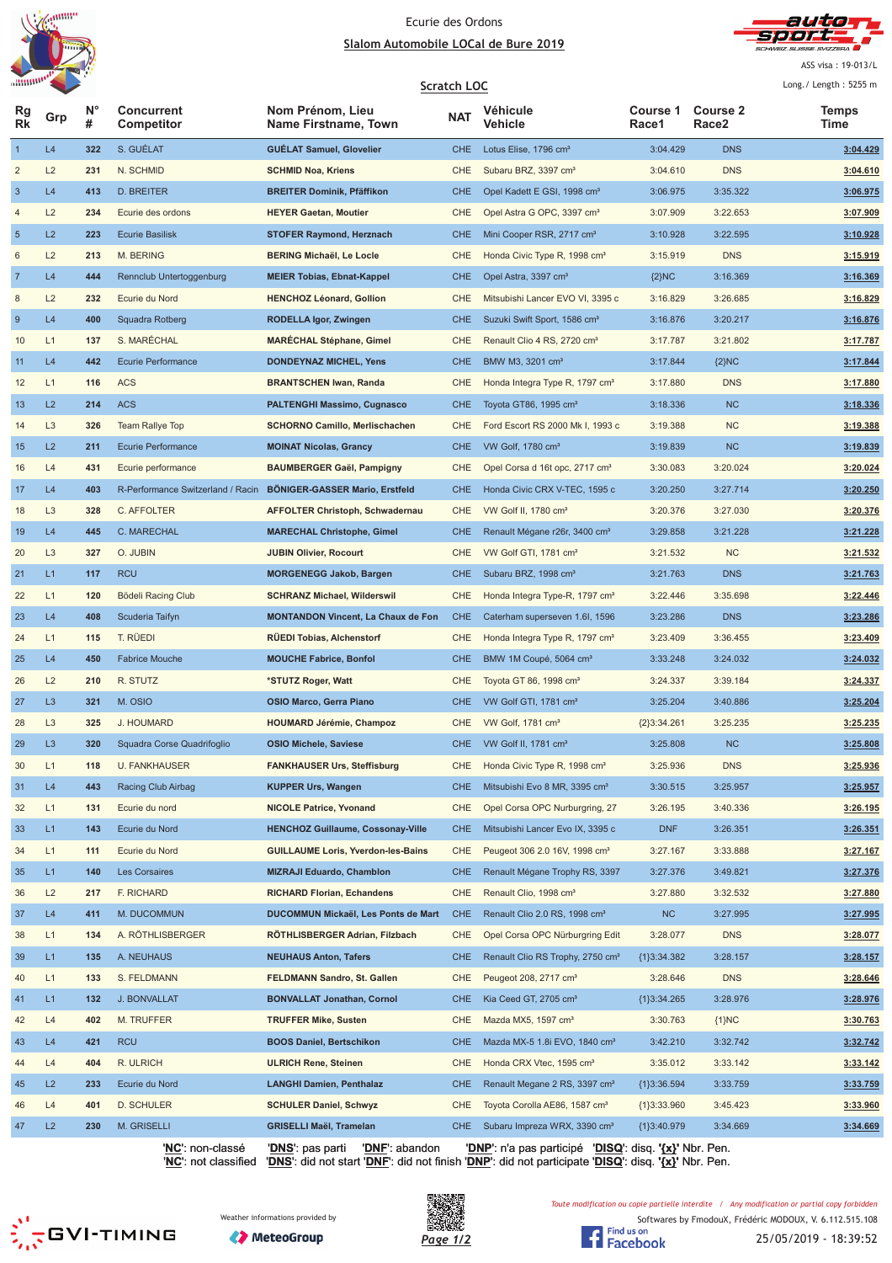



ASS visa: 19-013/L  $1 - 2 = 1$  and  $1 - 2 = 1$ 

| annone.        |                |         |                                   |                                           | Scratch LOC |                                              |                   |                                      | Long./ Length: 5255 m |
|----------------|----------------|---------|-----------------------------------|-------------------------------------------|-------------|----------------------------------------------|-------------------|--------------------------------------|-----------------------|
| Rg<br>Rk       | Grp            | N°<br># | <b>Concurrent</b><br>Competitor   | Nom Prénom, Lieu<br>Name Firstname, Town  | <b>NAT</b>  | Véhicule<br>Vehicle                          | Course 1<br>Race1 | <b>Course 2</b><br>Race <sub>2</sub> | Temps<br>Time         |
| $\mathbf{1}$   | L4             | 322     | S. GUÉLAT                         | <b>GUÉLAT Samuel, Glovelier</b>           | <b>CHE</b>  | Lotus Elise, 1796 cm <sup>3</sup>            | 3:04.429          | <b>DNS</b>                           | 3:04.429              |
| $\overline{c}$ | L2             | 231     | N. SCHMID                         | <b>SCHMID Noa, Kriens</b>                 | CHE         | Subaru BRZ, 3397 cm <sup>3</sup>             | 3:04.610          | <b>DNS</b>                           | 3:04.610              |
| $\mathbf{3}$   | L4             | 413     | <b>D. BREITER</b>                 | <b>BREITER Dominik, Pfäffikon</b>         | <b>CHE</b>  | Opel Kadett E GSI, 1998 cm <sup>3</sup>      | 3:06.975          | 3:35.322                             | 3:06.975              |
| 4              | L2             | 234     | Ecurie des ordons                 | <b>HEYER Gaetan, Moutier</b>              | CHE         | Opel Astra G OPC, 3397 cm <sup>3</sup>       | 3:07.909          | 3:22.653                             | 3:07.909              |
| $\sqrt{5}$     | L2             | 223     | <b>Ecurie Basilisk</b>            | <b>STOFER Raymond, Herznach</b>           | <b>CHE</b>  | Mini Cooper RSR, 2717 cm <sup>3</sup>        | 3:10.928          | 3:22.595                             | 3:10.928              |
| 6              | L2             | 213     | M. BERING                         | <b>BERING Michaël, Le Locle</b>           | <b>CHE</b>  | Honda Civic Type R, 1998 cm <sup>3</sup>     | 3:15.919          | <b>DNS</b>                           | 3:15.919              |
| $\overline{7}$ | L4             | 444     | Rennclub Untertoggenburg          | <b>MEIER Tobias, Ebnat-Kappel</b>         | <b>CHE</b>  | Opel Astra, 3397 cm <sup>3</sup>             | ${2}NC$           | 3:16.369                             | 3:16.369              |
| 8              | L2             | 232     | Ecurie du Nord                    | <b>HENCHOZ Léonard, Gollion</b>           | CHE         | Mitsubishi Lancer EVO VI, 3395 c             | 3:16.829          | 3:26.685                             | 3:16.829              |
| 9              | L4             | 400     | Squadra Rotberg                   | <b>RODELLA Igor, Zwingen</b>              | <b>CHE</b>  | Suzuki Swift Sport, 1586 cm <sup>3</sup>     | 3:16.876          | 3:20.217                             | 3:16.876              |
| 10             | L1             | 137     | S. MARÉCHAL                       | <b>MARECHAL Stéphane, Gimel</b>           | <b>CHE</b>  | Renault Clio 4 RS, 2720 cm <sup>3</sup>      | 3:17.787          | 3:21.802                             | 3:17.787              |
| 11             | L4             | 442     | Ecurie Performance                | <b>DONDEYNAZ MICHEL, Yens</b>             | <b>CHE</b>  | BMW M3, 3201 cm <sup>3</sup>                 | 3:17.844          | ${2}NC$                              | 3:17.844              |
| 12             | L1             | 116     | <b>ACS</b>                        | <b>BRANTSCHEN Iwan, Randa</b>             | <b>CHE</b>  | Honda Integra Type R, 1797 cm <sup>3</sup>   | 3:17.880          | <b>DNS</b>                           | 3:17.880              |
| 13             | L2             | 214     | <b>ACS</b>                        | <b>PALTENGHI Massimo, Cugnasco</b>        | <b>CHE</b>  | Toyota GT86, 1995 cm <sup>3</sup>            | 3:18.336          | <b>NC</b>                            | 3:18.336              |
| 14             | L <sub>3</sub> | 326     | <b>Team Rallye Top</b>            | <b>SCHORNO Camillo, Merlischachen</b>     | CHE         | Ford Escort RS 2000 Mk I, 1993 c             | 3:19.388          | <b>NC</b>                            | 3:19.388              |
| 15             | L2             | 211     | <b>Ecurie Performance</b>         | <b>MOINAT Nicolas, Grancy</b>             | <b>CHE</b>  | VW Golf, 1780 cm <sup>3</sup>                | 3:19.839          | <b>NC</b>                            | 3:19.839              |
| 16             | L4             | 431     | Ecurie performance                | <b>BAUMBERGER Gaël, Pampigny</b>          | <b>CHE</b>  | Opel Corsa d 16t opc, 2717 cm <sup>3</sup>   | 3:30.083          | 3:20.024                             | 3:20.024              |
| 17             | L4             | 403     | R-Performance Switzerland / Racin | <b>BÖNIGER-GASSER Mario, Erstfeld</b>     | <b>CHE</b>  | Honda Civic CRX V-TEC, 1595 c                | 3:20.250          | 3:27.714                             | 3:20.250              |
| 18             | L <sub>3</sub> | 328     | C. AFFOLTER                       | <b>AFFOLTER Christoph, Schwadernau</b>    | CHE         | VW Golf II, $1780 \text{ cm}^3$              | 3:20.376          | 3:27.030                             | <u>3:20.376</u>       |
| 19             | L4             | 445     | C. MARECHAL                       | <b>MARECHAL Christophe, Gimel</b>         | <b>CHE</b>  | Renault Mégane r26r, 3400 cm <sup>3</sup>    | 3:29.858          | 3:21.228                             | 3:21.228              |
| 20             | L <sub>3</sub> | 327     | O. JUBIN                          | <b>JUBIN Olivier, Rocourt</b>             | CHE         | VW Golf GTI, 1781 cm <sup>3</sup>            | 3:21.532          | <b>NC</b>                            | 3:21.532              |
| 21             | L1             | 117     | <b>RCU</b>                        | <b>MORGENEGG Jakob, Bargen</b>            | <b>CHE</b>  | Subaru BRZ, 1998 cm <sup>3</sup>             | 3:21.763          | <b>DNS</b>                           | 3:21.763              |
| 22             | L1             | 120     | Bödeli Racing Club                | <b>SCHRANZ Michael, Wilderswil</b>        | CHE         | Honda Integra Type-R, 1797 cm <sup>3</sup>   | 3:22.446          | 3:35.698                             | 3:22.446              |
| 23             | L4             | 408     | Scuderia Taifyn                   | <b>MONTANDON Vincent, La Chaux de Fon</b> | <b>CHE</b>  | Caterham superseven 1.6I, 1596               | 3:23.286          | <b>DNS</b>                           | 3:23.286              |
| 24             | L1             | 115     | T. RÜEDI                          | <b>RÜEDI Tobias, Alchenstorf</b>          | CHE         | Honda Integra Type R, 1797 cm <sup>3</sup>   | 3:23.409          | 3:36.455                             | 3:23.409              |
| 25             | L4             | 450     | <b>Fabrice Mouche</b>             | <b>MOUCHE Fabrice, Bonfol</b>             | <b>CHE</b>  | BMW 1M Coupé, 5064 cm <sup>3</sup>           | 3:33.248          | 3:24.032                             | 3:24.032              |
| 26             | L2             | 210     | R. STUTZ                          | *STUTZ Roger, Watt                        | <b>CHE</b>  | Toyota GT 86, 1998 cm <sup>3</sup>           | 3:24.337          | 3:39.184                             | 3:24.337              |
| 27             | L3             | 321     | M. OSIO                           | <b>OSIO Marco, Gerra Piano</b>            | <b>CHE</b>  | VW Golf GTI, 1781 cm <sup>3</sup>            | 3:25.204          | 3:40.886                             | 3:25.204              |
| 28             | L <sub>3</sub> | 325     | J. HOUMARD                        | <b>HOUMARD Jérémie, Champoz</b>           | <b>CHE</b>  | VW Golf, 1781 cm <sup>3</sup>                | ${2}3:34.261$     | 3:25.235                             | 3:25.235              |
| 29             | L <sub>3</sub> | 320     | Squadra Corse Quadrifoglio        | <b>OSIO Michele, Saviese</b>              | <b>CHE</b>  | VW Golf II, 1781 $cm3$                       | 3:25.808          | <b>NC</b>                            | 3:25.808              |
| 30             | L1             | 118     | <b>U. FANKHAUSER</b>              | <b>FANKHAUSER Urs, Steffisburg</b>        | <b>CHE</b>  | Honda Civic Type R, 1998 cm <sup>3</sup>     | 3:25.936          | <b>DNS</b>                           | 3:25.936              |
| 31             | L4             | 443     | Racing Club Airbag                | <b>KUPPER Urs, Wangen</b>                 | <b>CHE</b>  | Mitsubishi Evo 8 MR, 3395 cm <sup>3</sup>    | 3:30.515          | 3:25.957                             | 3:25.957              |
| 32             | L1             | 131     | Ecurie du nord                    | <b>NICOLE Patrice, Yvonand</b>            | CHE         | Opel Corsa OPC Nurburgring, 27               | 3:26.195          | 3:40.336                             | <u>3:26.195</u>       |
| 33             | L1             | 143     | Ecurie du Nord                    | <b>HENCHOZ Guillaume, Cossonay-Ville</b>  | <b>CHE</b>  | Mitsubishi Lancer Evo IX, 3395 c             | <b>DNF</b>        | 3:26.351                             | 3:26.351              |
| 34             | L1             | 111     | Ecurie du Nord                    | <b>GUILLAUME Loris, Yverdon-les-Bains</b> | CHE         | Peugeot 306 2.0 16V, 1998 cm <sup>3</sup>    | 3:27.167          | 3:33.888                             | 3:27.167              |
| 35             | L1             | 140     | Les Corsaires                     | <b>MIZRAJI Eduardo, Chamblon</b>          | <b>CHE</b>  | Renault Mégane Trophy RS, 3397               | 3:27.376          | 3:49.821                             | 3:27.376              |
| 36             | L2             | 217     | F. RICHARD                        | <b>RICHARD Florian, Echandens</b>         | CHE         | Renault Clio, 1998 cm <sup>3</sup>           | 3:27.880          | 3:32.532                             | 3:27.880              |
| 37             | L4             | 411     | M. DUCOMMUN                       | DUCOMMUN Mickaël, Les Ponts de Mart       | <b>CHE</b>  | Renault Clio 2.0 RS, 1998 cm <sup>3</sup>    | <b>NC</b>         | 3:27.995                             | 3:27.995              |
| 38             | L1             | 134     | A. RÖTHLISBERGER                  | RÖTHLISBERGER Adrian, Filzbach            | CHE         | Opel Corsa OPC Nürburgring Edit              | 3:28.077          | <b>DNS</b>                           | 3:28.077              |
| 39             | L1             | 135     | A. NEUHAUS                        | <b>NEUHAUS Anton, Tafers</b>              | <b>CHE</b>  | Renault Clio RS Trophy, 2750 cm <sup>3</sup> | ${1}3:34.382$     | 3:28.157                             | 3:28.157              |
| 40             | L1             | 133     | S. FELDMANN                       | FELDMANN Sandro, St. Gallen               | CHE         | Peugeot 208, 2717 cm <sup>3</sup>            | 3:28.646          | <b>DNS</b>                           | 3:28.646              |
| 41             | L1             | 132     | <b>J. BONVALLAT</b>               | <b>BONVALLAT Jonathan, Cornol</b>         | <b>CHE</b>  | Kia Ceed GT, 2705 cm <sup>3</sup>            | ${1}3:34.265$     | 3:28.976                             | 3:28.976              |
| 42             | L4             | 402     | M. TRUFFER                        | <b>TRUFFER Mike, Susten</b>               | CHE         | Mazda MX5, 1597 cm <sup>3</sup>              | 3:30.763          | ${1}NC$                              | 3:30.763              |
| 43             | L4             | 421     | <b>RCU</b>                        | <b>BOOS Daniel, Bertschikon</b>           | <b>CHE</b>  | Mazda MX-5 1.8i EVO, 1840 cm <sup>3</sup>    | 3:42.210          | 3:32.742                             | 3:32.742              |
| 44             | L4             | 404     | R. ULRICH                         | <b>ULRICH Rene, Steinen</b>               | CHE         | Honda CRX Vtec, 1595 cm <sup>3</sup>         | 3:35.012          | 3:33.142                             | 3:33.142              |
| 45             | L2             | 233     | Ecurie du Nord                    | <b>LANGHI Damien, Penthalaz</b>           | <b>CHE</b>  | Renault Megane 2 RS, 3397 cm <sup>3</sup>    | ${1}3:36.594$     | 3:33.759                             | 3:33.759              |
| 46             | L4             | 401     | D. SCHULER                        | <b>SCHULER Daniel, Schwyz</b>             | CHE         | Toyota Corolla AE86, 1587 cm <sup>3</sup>    | ${1}3:33.960$     | 3:45.423                             | 3:33.960              |
| 47             | L2             | 230     | M. GRISELLI                       | <b>GRISELLI Maël, Tramelan</b>            | <b>CHE</b>  | Subaru Impreza WRX, 3390 cm <sup>3</sup>     | ${1}3:40.979$     | 3:34.669                             | 3:34.669              |

'**NC**': non-classé '**DNS**': pas parti '**DNF**': abandon '**DNP**': n'a pas participé '**DISQ**': disq. **'{x}'** Nbr. Pen. '**NC**': not classified '**DNS**': did not start '**DNF**': did not finish '**DNP**': did not participate '**DISQ**': disq. **'{x}'** Nbr. Pen.

**SESSION** 





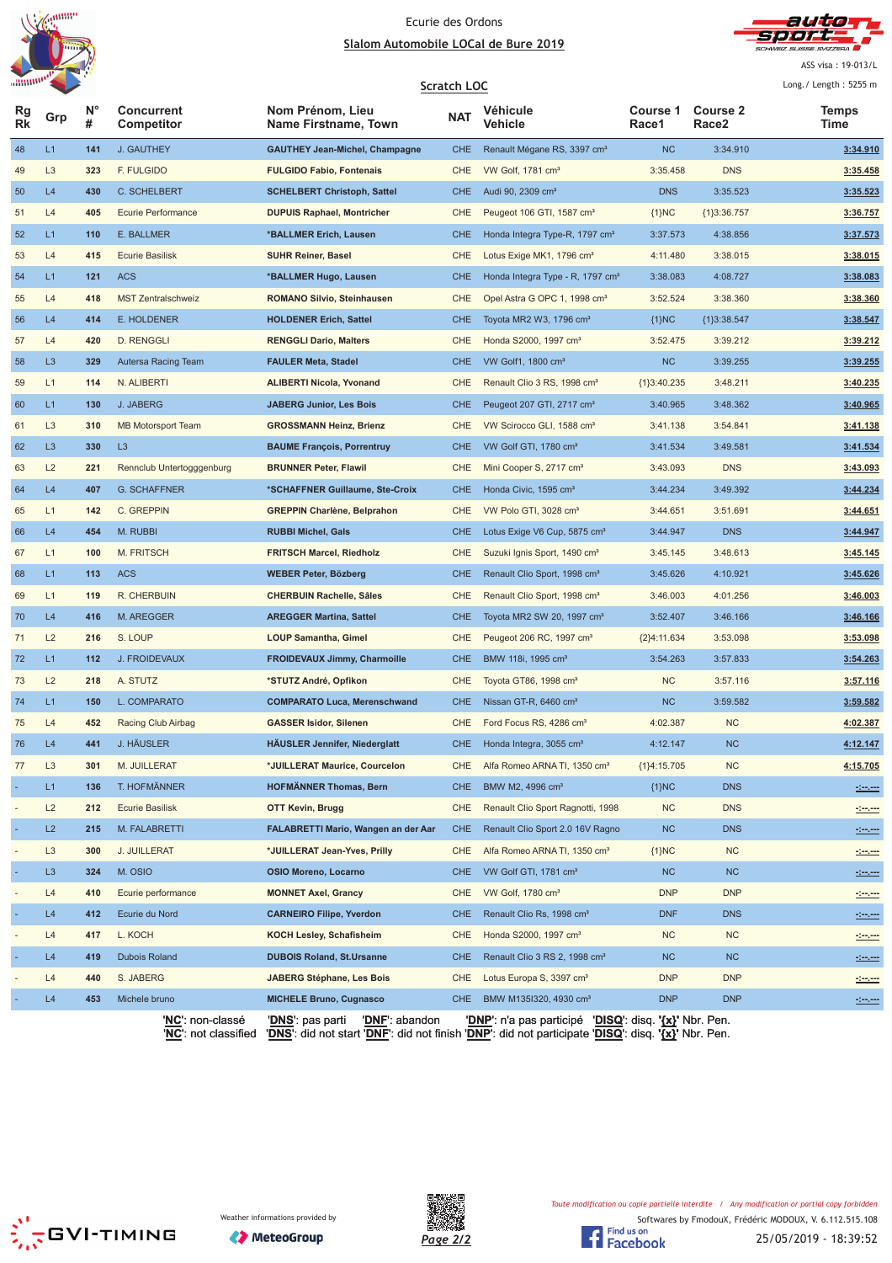



ASS visa: 19-013/L

|                          | <b>WINDER</b>  |                  |                                 |                                          | <b>Scratch LOC</b> |                                              |                   |                          | Long./ Length: 5255 m |
|--------------------------|----------------|------------------|---------------------------------|------------------------------------------|--------------------|----------------------------------------------|-------------------|--------------------------|-----------------------|
| <b>Rg</b><br><b>Rk</b>   | Grp            | $N^{\circ}$<br># | <b>Concurrent</b><br>Competitor | Nom Prénom, Lieu<br>Name Firstname, Town | <b>NAT</b>         | Véhicule<br>Vehicle                          | Course 1<br>Race1 | <b>Course 2</b><br>Race2 | Temps<br>Time         |
| 48                       | L1             | 141              | J. GAUTHEY                      | <b>GAUTHEY Jean-Michel, Champagne</b>    | <b>CHE</b>         | Renault Mégane RS, 3397 cm <sup>3</sup>      | NC                | 3:34.910                 | 3:34.910              |
| 49                       | L <sub>3</sub> | 323              | F. FULGIDO                      | <b>FULGIDO Fabio, Fontenais</b>          | CHE                | VW Golf, 1781 cm <sup>3</sup>                | 3:35.458          | <b>DNS</b>               | 3:35.458              |
| 50                       | L4             | 430              | C. SCHELBERT                    | <b>SCHELBERT Christoph, Sattel</b>       | <b>CHE</b>         | Audi 90, 2309 cm <sup>3</sup>                | <b>DNS</b>        | 3:35.523                 | 3:35.523              |
| 51                       | L4             | 405              | Ecurie Performance              | <b>DUPUIS Raphael, Montricher</b>        | <b>CHE</b>         | Peugeot 106 GTI, 1587 cm <sup>3</sup>        | ${1}NC$           | ${1}3:36.757$            | 3:36.757              |
| 52                       | L1             | 110              | E. BALLMER                      | *BALLMER Erich, Lausen                   | <b>CHE</b>         | Honda Integra Type-R, 1797 cm <sup>3</sup>   | 3:37.573          | 4:38.856                 | 3:37.573              |
| 53                       | L4             | 415              | <b>Ecurie Basilisk</b>          | <b>SUHR Reiner, Basel</b>                | <b>CHE</b>         | Lotus Exige MK1, 1796 cm <sup>3</sup>        | 4:11.480          | 3:38.015                 | 3:38.015              |
| 54                       | L1             | 121              | <b>ACS</b>                      | *BALLMER Hugo, Lausen                    | <b>CHE</b>         | Honda Integra Type - R, 1797 cm <sup>3</sup> | 3:38.083          | 4:08.727                 | 3:38.083              |
| 55                       | L4             | 418              | <b>MST Zentralschweiz</b>       | <b>ROMANO Silvio, Steinhausen</b>        | <b>CHE</b>         | Opel Astra G OPC 1, 1998 cm <sup>3</sup>     | 3:52.524          | 3:38.360                 | 3:38.360              |
| 56                       | L4             | 414              | E. HOLDENER                     | <b>HOLDENER Erich, Sattel</b>            | <b>CHE</b>         | Toyota MR2 W3, 1796 cm <sup>3</sup>          | ${1}NC$           | ${1}3:38.547$            | 3:38.547              |
| 57                       | L4             | 420              | <b>D. RENGGLI</b>               | <b>RENGGLI Dario, Malters</b>            | <b>CHE</b>         | Honda S2000, 1997 cm <sup>3</sup>            | 3:52.475          | 3:39.212                 | 3:39.212              |
| 58                       | L3             | 329              | Autersa Racing Team             | <b>FAULER Meta, Stadel</b>               | <b>CHE</b>         | VW Golf1, 1800 cm <sup>3</sup>               | NC                | 3:39.255                 | 3:39.255              |
| 59                       | L1             | 114              | N. ALIBERTI                     | <b>ALIBERTI Nicola, Yvonand</b>          | <b>CHE</b>         | Renault Clio 3 RS, 1998 cm <sup>3</sup>      | {1}3:40.235       | 3:48.211                 | 3:40.235              |
| 60                       | L1             | 130              | J. JABERG                       | <b>JABERG Junior, Les Bois</b>           | <b>CHE</b>         | Peugeot 207 GTI, 2717 cm <sup>3</sup>        | 3:40.965          | 3:48.362                 | 3:40.965              |
| 61                       | L <sub>3</sub> | 310              | <b>MB Motorsport Team</b>       | <b>GROSSMANN Heinz, Brienz</b>           | <b>CHE</b>         | VW Scirocco GLI, 1588 cm <sup>3</sup>        | 3:41.138          | 3:54.841                 | 3:41.138              |
| 62                       | L <sub>3</sub> | 330              | L <sub>3</sub>                  | <b>BAUME François, Porrentruy</b>        | <b>CHE</b>         | VW Golf GTI, 1780 cm <sup>3</sup>            | 3:41.534          | 3:49.581                 | 3:41.534              |
| 63                       | L2             | 221              | Rennclub Untertogggenburg       | <b>BRUNNER Peter, Flawil</b>             | <b>CHE</b>         | Mini Cooper S, 2717 cm <sup>3</sup>          | 3:43.093          | <b>DNS</b>               | 3:43.093              |
| 64                       | L4             | 407              | <b>G. SCHAFFNER</b>             | *SCHAFFNER Guillaume, Ste-Croix          | <b>CHE</b>         | Honda Civic, 1595 cm <sup>3</sup>            | 3:44.234          | 3:49.392                 | 3:44.234              |
| 65                       | L1             | 142              | C. GREPPIN                      | <b>GREPPIN Charlène, Belprahon</b>       | <b>CHE</b>         | VW Polo GTI, 3028 cm <sup>3</sup>            | 3:44.651          | 3:51.691                 | 3:44.651              |
| 66                       | L4             | 454              | M. RUBBI                        | <b>RUBBI Michel, Gals</b>                | <b>CHE</b>         | Lotus Exige V6 Cup, 5875 cm <sup>3</sup>     | 3:44.947          | <b>DNS</b>               | 3:44.947              |
| 67                       | L1             | 100              | M. FRITSCH                      | <b>FRITSCH Marcel, Riedholz</b>          | <b>CHE</b>         | Suzuki Ignis Sport, 1490 cm <sup>3</sup>     | 3:45.145          | 3:48.613                 | 3:45.145              |
| 68                       | L1             | 113              | <b>ACS</b>                      | <b>WEBER Peter, Bözberg</b>              | <b>CHE</b>         | Renault Clio Sport, 1998 cm <sup>3</sup>     | 3:45.626          | 4:10.921                 | 3:45.626              |
| 69                       | L1             | 119              | R. CHERBUIN                     | <b>CHERBUIN Rachelle, Sâles</b>          | <b>CHE</b>         | Renault Clio Sport, 1998 cm <sup>3</sup>     | 3:46.003          | 4:01.256                 | 3:46.003              |
| 70                       | L4             | 416              | M. AREGGER                      | <b>AREGGER Martina, Sattel</b>           | <b>CHE</b>         | Toyota MR2 SW 20, 1997 cm <sup>3</sup>       | 3:52.407          | 3:46.166                 | 3:46.166              |
| 71                       | L2             | 216              | S. LOUP                         | <b>LOUP Samantha, Gimel</b>              | <b>CHE</b>         | Peugeot 206 RC, 1997 cm <sup>3</sup>         | ${2}4:11.634$     | 3:53.098                 | 3:53.098              |
| 72                       | L1             | 112              | <b>J. FROIDEVAUX</b>            | <b>FROIDEVAUX Jimmy, Charmoille</b>      | <b>CHE</b>         | BMW 118i, 1995 cm <sup>3</sup>               | 3:54.263          | 3:57.833                 | 3:54.263              |
| 73                       | L2             | 218              | A. STUTZ                        | *STUTZ André, Opfikon                    | <b>CHE</b>         | Toyota GT86, 1998 cm <sup>3</sup>            | NC                | 3:57.116                 | 3:57.116              |
| 74                       | L1             | 150              | L. COMPARATO                    | <b>COMPARATO Luca, Merenschwand</b>      | <b>CHE</b>         | Nissan GT-R, 6460 cm <sup>3</sup>            | NC                | 3:59.582                 | 3:59.582              |
| 75                       | L4             | 452              | Racing Club Airbag              | <b>GASSER Isidor, Silenen</b>            | <b>CHE</b>         | Ford Focus RS, 4286 cm <sup>3</sup>          | 4:02.387          | <b>NC</b>                | 4:02.387              |
| 76                       | L4             | 441              | <b>J. HÄUSLER</b>               | <b>HÄUSLER Jennifer, Niederglatt</b>     | <b>CHE</b>         | Honda Integra, 3055 cm <sup>3</sup>          | 4:12.147          | <b>NC</b>                | 4:12.147              |
| 77                       | L <sub>3</sub> | 301              | M. JUILLERAT                    | *JUILLERAT Maurice, Courcelon            | <b>CHE</b>         | Alfa Romeo ARNA TI, 1350 cm <sup>3</sup>     | ${1}4:15.705$     | NC                       | 4:15.705              |
|                          | L1             | 136              | T. HOFMÄNNER                    | <b>HOFMÄNNER Thomas, Bern</b>            | <b>CHE</b>         | BMW M2, 4996 cm <sup>3</sup>                 | ${1}NC$           | <b>DNS</b>               | $rac{1}{2}$           |
| ٠                        | L2             | 212              | <b>Ecurie Basilisk</b>          | OTT Kevin, Brugg                         | <b>CHE</b>         | Renault Clio Sport Ragnotti, 1998            | <b>NC</b>         | <b>DNS</b>               | <u>desem</u>          |
| $\overline{\phantom{a}}$ | L2             | 215              | M. FALABRETTI                   | FALABRETTI Mario, Wangen an der Aar      | <b>CHE</b>         | Renault Clio Sport 2.0 16V Ragno             | <b>NC</b>         | <b>DNS</b>               | <u>simon</u>          |
| ä,                       | L <sub>3</sub> | 300              | J. JUILLERAT                    | *JUILLERAT Jean-Yves, Prilly             | <b>CHE</b>         | Alfa Romeo ARNA TI, 1350 cm <sup>3</sup>     | ${1}NC$           | NC                       | <u> 1999 - 199</u>    |
| ÷                        | L <sub>3</sub> | 324              | M. OSIO                         | <b>OSIO Moreno, Locarno</b>              | <b>CHE</b>         | VW Golf GTI, 1781 cm <sup>3</sup>            | <b>NC</b>         | NC                       | <u>desem</u>          |
| ÷,                       | L4             | 410              | Ecurie performance              | <b>MONNET Axel, Grancy</b>               | <b>CHE</b>         | VW Golf, 1780 cm <sup>3</sup>                | <b>DNP</b>        | <b>DNP</b>               | <u>desem</u>          |
| ÷,                       | L4             | 412              | Ecurie du Nord                  | <b>CARNEIRO Filipe, Yverdon</b>          | <b>CHE</b>         | Renault Clio Rs, 1998 cm <sup>3</sup>        | <b>DNF</b>        | <b>DNS</b>               | <u>desem</u>          |
|                          | L4             | 417              | L. KOCH                         | KOCH Lesley, Schafisheim                 | <b>CHE</b>         | Honda S2000, 1997 cm <sup>3</sup>            | NC                | <b>NC</b>                | <u>desem</u>          |
| ÷                        | L4             | 419              | Dubois Roland                   | <b>DUBOIS Roland, St.Ursanne</b>         | <b>CHE</b>         | Renault Clio 3 RS 2, 1998 cm <sup>3</sup>    | <b>NC</b>         | <b>NC</b>                | <u>desem</u>          |
|                          | L4             | 440              | S. JABERG                       | <b>JABERG Stéphane, Les Bois</b>         | <b>CHE</b>         | Lotus Europa S, 3397 cm <sup>3</sup>         | <b>DNP</b>        | <b>DNP</b>               | <u>simon</u>          |
|                          | L4             | 453              | Michele bruno                   | <b>MICHELE Bruno, Cugnasco</b>           | <b>CHE</b>         | BMW M135I320, 4930 cm <sup>3</sup>           | <b>DNP</b>        | <b>DNP</b>               | <u>Seven</u>          |



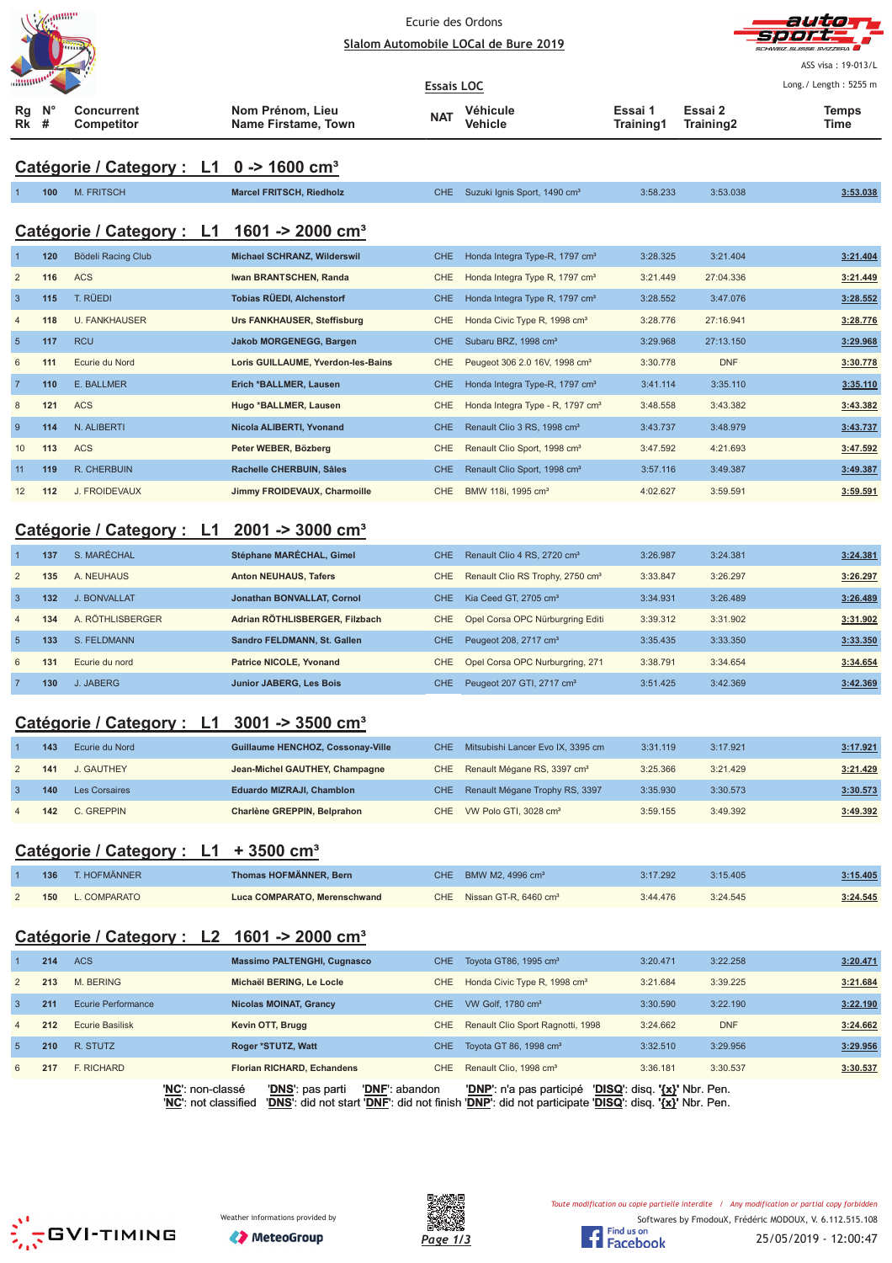|                                                     | <b>ANTHUL</b>    |                                                          | Ecurie des Ordons<br>Slalom Automobile LOCal de Bure 2019                                           | ailte<br>ASS visa: 19-013/L |                                                        |                      |                      |                       |  |  |
|-----------------------------------------------------|------------------|----------------------------------------------------------|-----------------------------------------------------------------------------------------------------|-----------------------------|--------------------------------------------------------|----------------------|----------------------|-----------------------|--|--|
|                                                     |                  |                                                          |                                                                                                     | <b>Essais LOC</b>           |                                                        |                      |                      | Long./ Length: 5255 m |  |  |
| Rg<br>Rk                                            | $N^{\circ}$<br># | Concurrent<br>Competitor                                 | Nom Prénom, Lieu<br>Name Firstame, Town                                                             | NAT                         | Véhicule<br>Vehicle                                    | Essai 1<br>Training1 | Essai 2<br>Training2 | Temps<br>Time         |  |  |
| Catégorie / Category : L1 0 -> 1600 cm <sup>3</sup> |                  |                                                          |                                                                                                     |                             |                                                        |                      |                      |                       |  |  |
|                                                     | 100              | M. FRITSCH                                               | <b>Marcel FRITSCH, Riedholz</b>                                                                     | <b>CHE</b>                  | Suzuki Ignis Sport, 1490 cm <sup>3</sup>               | 3:58.233             | 3:53.038             | 3:53.038              |  |  |
|                                                     |                  |                                                          |                                                                                                     |                             |                                                        |                      |                      |                       |  |  |
|                                                     |                  | Catégorie / Category : L1 1601 -> 2000 cm <sup>3</sup>   |                                                                                                     |                             |                                                        |                      |                      |                       |  |  |
| $\mathbf 1$                                         | 120              | Bödeli Racing Club                                       | Michael SCHRANZ, Wilderswil                                                                         | <b>CHE</b>                  | Honda Integra Type-R, 1797 cm <sup>3</sup>             | 3:28.325             | 3:21.404             | 3:21.404              |  |  |
| $\overline{2}$                                      | 116              | <b>ACS</b>                                               | Iwan BRANTSCHEN, Randa                                                                              | <b>CHE</b>                  | Honda Integra Type R, 1797 cm <sup>3</sup>             | 3:21.449             | 27:04.336            | 3:21.449              |  |  |
| $\overline{3}$                                      | 115              | T. RÜEDI                                                 | <b>Tobias RÜEDI, Alchenstorf</b>                                                                    | <b>CHE</b>                  | Honda Integra Type R, 1797 cm <sup>3</sup>             | 3:28.552             | 3:47.076             | 3:28.552              |  |  |
| $\overline{4}$                                      | 118              | <b>U. FANKHAUSER</b>                                     | <b>Urs FANKHAUSER, Steffisburg</b>                                                                  | <b>CHE</b>                  | Honda Civic Type R, 1998 cm <sup>3</sup>               | 3:28.776             | 27:16.941            | 3:28.776              |  |  |
| $5\phantom{.0}$                                     | 117              | <b>RCU</b>                                               | Jakob MORGENEGG, Bargen                                                                             | <b>CHE</b>                  | Subaru BRZ, 1998 cm <sup>3</sup>                       | 3:29.968             | 27:13.150            | 3:29.968              |  |  |
| 6                                                   | 111              | Ecurie du Nord                                           | Loris GUILLAUME, Yverdon-les-Bains                                                                  | <b>CHE</b>                  | Peugeot 306 2.0 16V, 1998 cm <sup>3</sup>              | 3:30.778             | <b>DNF</b>           | 3:30.778              |  |  |
| $\overline{7}$                                      | 110              | E. BALLMER                                               | Erich *BALLMER, Lausen                                                                              | <b>CHE</b>                  | Honda Integra Type-R, 1797 cm <sup>3</sup>             | 3:41.114             | 3:35.110             | 3:35.110              |  |  |
| 8                                                   | 121              | <b>ACS</b>                                               | Hugo *BALLMER, Lausen                                                                               | CHE                         | Honda Integra Type - R, 1797 cm <sup>3</sup>           | 3:48.558             | 3:43.382             | 3:43.382              |  |  |
| 9                                                   | 114              | N. ALIBERTI                                              | Nicola ALIBERTI, Yvonand                                                                            | <b>CHE</b>                  | Renault Clio 3 RS, 1998 cm <sup>3</sup>                | 3:43.737             | 3:48.979             | 3:43.737              |  |  |
| 10                                                  | 113              | <b>ACS</b>                                               | Peter WEBER, Bözberg                                                                                | <b>CHE</b>                  | Renault Clio Sport, 1998 cm <sup>3</sup>               | 3:47.592             | 4:21.693             | 3:47.592              |  |  |
| 11                                                  | 119              | R. CHERBUIN                                              | Rachelle CHERBUIN, Sâles                                                                            | <b>CHE</b>                  | Renault Clio Sport, 1998 cm <sup>3</sup>               | 3:57.116             | 3:49.387             | 3:49.387              |  |  |
| 12                                                  | 112              | J. FROIDEVAUX                                            | Jimmy FROIDEVAUX, Charmoille                                                                        | <b>CHE</b>                  | BMW 118i, 1995 cm <sup>3</sup>                         | 4:02.627             | 3:59.591             | 3:59.591              |  |  |
|                                                     |                  |                                                          |                                                                                                     |                             |                                                        |                      |                      |                       |  |  |
|                                                     |                  | Catégorie / Category : L1 2001 -> 3000 cm <sup>3</sup>   |                                                                                                     |                             |                                                        |                      |                      |                       |  |  |
| $\mathbf{1}$                                        | 137              | S. MARÉCHAL                                              | Stéphane MARÉCHAL, Gimel                                                                            | <b>CHE</b>                  | Renault Clio 4 RS, 2720 cm <sup>3</sup>                | 3:26.987             | 3:24.381             | 3:24.381              |  |  |
| $\overline{2}$                                      | 135              | A. NEUHAUS                                               | <b>Anton NEUHAUS, Tafers</b>                                                                        | CHE                         | Renault Clio RS Trophy, 2750 cm <sup>3</sup>           | 3:33.847             | 3:26.297             | 3:26.297              |  |  |
| $\overline{3}$                                      | 132              | J. BONVALLAT                                             | Jonathan BONVALLAT, Cornol                                                                          | <b>CHE</b>                  | Kia Ceed GT, 2705 cm <sup>3</sup>                      | 3:34.931             | 3:26.489             | 3:26.489              |  |  |
| $\overline{4}$                                      | 134              | A. RÖTHLISBERGER                                         | Adrian RÖTHLISBERGER, Filzbach                                                                      | <b>CHE</b>                  | Opel Corsa OPC Nürburgring Editi                       | 3:39.312             | 3:31.902             | 3:31.902              |  |  |
| 5                                                   | 133              | S. FELDMANN                                              | Sandro FELDMANN, St. Gallen                                                                         | <b>CHE</b>                  | Peugeot 208, 2717 cm <sup>3</sup>                      | 3:35.435             | 3:33.350             | 3:33.350              |  |  |
| 6                                                   | 131              | Ecurie du nord                                           | Patrice NICOLE, Yvonand                                                                             | <b>CHE</b>                  | Opel Corsa OPC Nurburgring, 271                        | 3:38.791             | 3:34.654             | 3:34.654              |  |  |
| 7                                                   | 130              | J. JABERG                                                | <b>Junior JABERG, Les Bois</b>                                                                      | CHE                         | Peugeot 207 GTI, 2717 cm <sup>3</sup>                  | 3:51.425             | 3:42.369             | 3:42.369              |  |  |
|                                                     |                  |                                                          |                                                                                                     |                             |                                                        |                      |                      |                       |  |  |
|                                                     |                  | Catégorie / Category : $L1$ 3001 -> 3500 cm <sup>3</sup> |                                                                                                     |                             |                                                        |                      |                      |                       |  |  |
|                                                     | 143              | Ecurie du Nord                                           | Guillaume HENCHOZ, Cossonay-Ville                                                                   | <b>CHE</b>                  | Mitsubishi Lancer Evo IX, 3395 cm                      | 3:31.119             | 3:17.921             | 3:17.921              |  |  |
| $\overline{c}$                                      | 141              | J. GAUTHEY                                               | Jean-Michel GAUTHEY, Champagne                                                                      | CHE                         | Renault Mégane RS, 3397 cm <sup>3</sup>                | 3:25.366             | 3:21.429             | <u>3:21.429</u>       |  |  |
| $\mathbf{3}$                                        | 140              | <b>Les Corsaires</b>                                     | Eduardo MIZRAJI, Chamblon                                                                           | <b>CHE</b>                  | Renault Mégane Trophy RS, 3397                         | 3:35.930             | 3:30.573             | 3:30.573              |  |  |
| $\overline{4}$                                      | 142              | C. GREPPIN                                               | Charlène GREPPIN, Belprahon                                                                         | <b>CHE</b>                  | VW Polo GTI, 3028 cm <sup>3</sup>                      | 3:59.155             | 3:49.392             | 3:49.392              |  |  |
|                                                     |                  |                                                          |                                                                                                     |                             |                                                        |                      |                      |                       |  |  |
|                                                     |                  | Catégorie / Category : L1 + 3500 cm <sup>3</sup>         |                                                                                                     |                             |                                                        |                      |                      |                       |  |  |
|                                                     | 136              | T. HOFMÄNNER                                             | Thomas HOFMÄNNER, Bern                                                                              | <b>CHE</b>                  | BMW M2, 4996 cm <sup>3</sup>                           | 3:17.292             | 3:15.405             | 3:15.405              |  |  |
| $\overline{c}$                                      | 150              | L. COMPARATO                                             | Luca COMPARATO, Merenschwand                                                                        | <b>CHE</b>                  | Nissan GT-R, 6460 cm <sup>3</sup>                      | 3:44.476             | 3:24.545             | 3:24.545              |  |  |
|                                                     |                  |                                                          |                                                                                                     |                             |                                                        |                      |                      |                       |  |  |
|                                                     |                  | Catégorie / Category : L2 1601 -> 2000 cm <sup>3</sup>   |                                                                                                     |                             |                                                        |                      |                      |                       |  |  |
| $\mathbf 1$                                         | 214              | <b>ACS</b>                                               | <b>Massimo PALTENGHI, Cugnasco</b>                                                                  | <b>CHE</b>                  | Toyota GT86, 1995 cm <sup>3</sup>                      | 3:20.471             | 3:22.258             | 3:20.471              |  |  |
| $\overline{c}$                                      | 213              | M. BERING                                                | Michaël BERING, Le Locle                                                                            | <b>CHE</b>                  | Honda Civic Type R, 1998 cm <sup>3</sup>               | 3:21.684             | 3:39.225             | 3:21.684              |  |  |
| $\mathbf{3}$                                        | 211              | <b>Ecurie Performance</b>                                | <b>Nicolas MOINAT, Grancy</b>                                                                       | <b>CHE</b>                  | VW Golf, 1780 cm <sup>3</sup>                          | 3:30.590             | 3:22.190             | 3:22.190              |  |  |
| $\overline{4}$                                      | 212              | <b>Ecurie Basilisk</b>                                   | Kevin OTT, Brugg                                                                                    | <b>CHE</b>                  | Renault Clio Sport Ragnotti, 1998                      | 3:24.662             | <b>DNF</b>           | 3:24.662              |  |  |
| $\overline{5}$                                      | 210              | R. STUTZ                                                 | Roger *STUTZ, Watt                                                                                  | <b>CHE</b>                  | Toyota GT 86, 1998 cm <sup>3</sup>                     | 3:32.510             | 3:29.956             | 3:29.956              |  |  |
| 6                                                   | 217              | F. RICHARD                                               | <b>Florian RICHARD, Echandens</b>                                                                   | <b>CHE</b>                  | Renault Clio, 1998 cm <sup>3</sup>                     | 3:36.181             | 3:30.537             | 3:30.537              |  |  |
|                                                     |                  | ' <b>NC'</b> : non-classé                                | 'DNF': abandon<br>' <u>DNS</u> ': pas parti                                                         |                             | 'DNP': n'a pas participé 'DISQ': disq. '{x}' Nbr. Pen. |                      |                      |                       |  |  |
|                                                     |                  | 'NC': not classified                                     | 'DNS': did not start 'DNF': did not finish 'DNP': did not participate 'DISQ': disq. '{x}' Nbr. Pen. |                             |                                                        |                      |                      |                       |  |  |





Toute modification ou copie partielle interdite / Any modification or partial copy forbidden



Softwares by FmodouX, Frédéric MODOUX, V. 6.112.515.108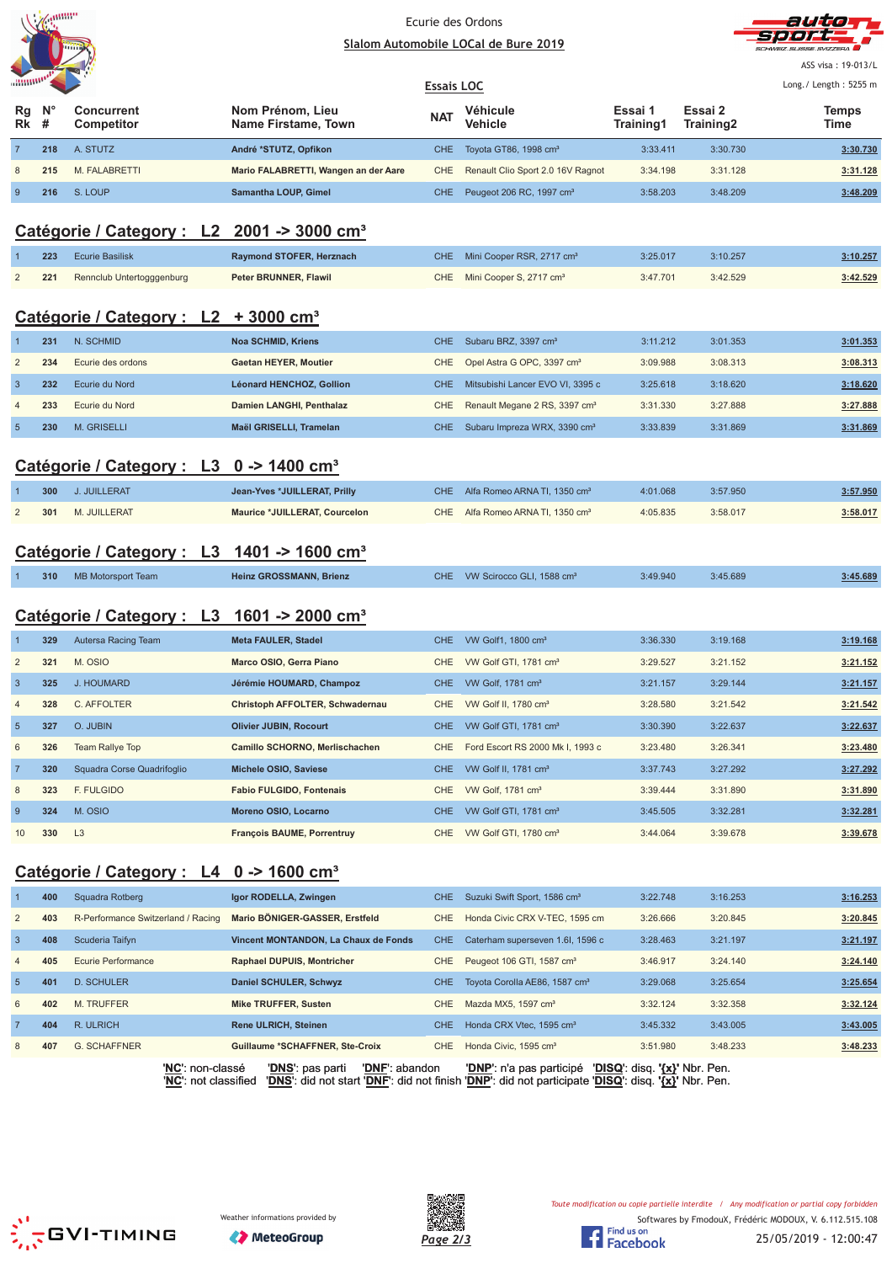



ASS visa: 19-013/L

|                                 | <b>ARRIVES</b> |                          |                                         |            | <b>Essais LOC</b>                        |                      |                      |               |  |  |
|---------------------------------|----------------|--------------------------|-----------------------------------------|------------|------------------------------------------|----------------------|----------------------|---------------|--|--|
| $Rg$ $N^{\circ}$<br><b>Rk</b> # |                | Concurrent<br>Competitor | Nom Prénom, Lieu<br>Name Firstame, Town | <b>NAT</b> | Véhicule<br><b>Vehicle</b>               | Essai 1<br>Training1 | Essai 2<br>Training2 | Temps<br>Time |  |  |
|                                 | 218            | A. STUTZ                 | André *STUTZ, Opfikon                   |            | CHE Toyota GT86, 1998 cm <sup>3</sup>    | 3:33.411             | 3:30.730             | 3:30.730      |  |  |
| 8                               | 215            | M. FALABRETTI            | Mario FALABRETTI, Wangen an der Aare    |            | CHE Renault Clio Sport 2.0 16V Ragnot    | 3:34.198             | 3:31.128             | 3:31.128      |  |  |
| 9                               | 216            | S. LOUP                  | Samantha LOUP, Gimel                    |            | CHE Peugeot 206 RC, 1997 cm <sup>3</sup> | 3:58.203             | 3:48.209             | 3:48.209      |  |  |

### **Catégorie / Category : L2 2001 -> 3000 cm³**

|                | 223 | <b>Ecurie Basilisk</b>    | Raymond STOFER, Herznach  | CHE.       | Mini Cooper RSR, 2717 cm <sup>3</sup>     | 3:25.017 | 3:10.257 | 3:10.257 |
|----------------|-----|---------------------------|---------------------------|------------|-------------------------------------------|----------|----------|----------|
| $\overline{2}$ | 221 | Rennclub Untertogggenburg | Peter BRUNNER, Flawil     | <b>CHE</b> | Mini Cooper S, 2717 cm <sup>3</sup>       | 3:47.701 | 3:42.529 | 3:42.529 |
|                |     | Catégorie / Category : L2 | $+3000$ cm <sup>3</sup>   |            |                                           |          |          |          |
|                | 231 | N. SCHMID                 | <b>Noa SCHMID, Kriens</b> | CHE.       | Subaru BRZ, 3397 cm <sup>3</sup>          | 3:11.212 | 3:01.353 | 3:01.353 |
| $\overline{2}$ | 234 | Ecurie des ordons         | Gaetan HEYER, Moutier     | CHE        | Opel Astra G OPC, 3397 cm <sup>3</sup>    | 3:09.988 | 3:08.313 | 3:08.313 |
| 3              | 232 | Ecurie du Nord            | Léonard HENCHOZ, Gollion  | CHE.       | Mitsubishi Lancer EVO VI, 3395 c          | 3:25.618 | 3:18.620 | 3:18.620 |
| $\overline{4}$ | 233 | Ecurie du Nord            | Damien LANGHI, Penthalaz  | <b>CHE</b> | Renault Megane 2 RS, 3397 cm <sup>3</sup> | 3:31.330 | 3:27.888 | 3:27.888 |
| 5 <sup>5</sup> | 230 | <b>M. GRISELLI</b>        | Maël GRISELLI, Tramelan   | CHE.       | Subaru Impreza WRX, 3390 cm <sup>3</sup>  | 3:33.839 | 3:31.869 | 3:31.869 |
|                |     |                           |                           |            |                                           |          |          |          |

### **Catégorie / Category : L3 0 -> 1400 cm³**

| 300 | J. JUILLERAT     | Jean-Yves *JUILLERAT, Prilly  | CHE Alfa Romeo ARNA TI, 1350 cm <sup>3</sup> | 4:01.068 | 3:57.950 | 3:57.950 |
|-----|------------------|-------------------------------|----------------------------------------------|----------|----------|----------|
|     | 301 M. JUILLERAT | Maurice *JUILLERAT, Courcelon | CHE Alfa Romeo ARNA TI, 1350 cm <sup>3</sup> | 4:05.835 | 3:58.017 | 3:58.017 |

### **Catégorie / Category : L3 1401 -> 1600 cm³**

| 310 | MB Motorsport Team | <b>Heinz GROSSMANN, Brienz</b> |  | CHE VW Scirocco GLI, 1588 cm <sup>3</sup> | 3:49.940 | 3:45.689 | 3:45.689 |
|-----|--------------------|--------------------------------|--|-------------------------------------------|----------|----------|----------|
|-----|--------------------|--------------------------------|--|-------------------------------------------|----------|----------|----------|

### **Catégorie / Category : L3 1601 -> 2000 cm³**

|                | 329 | Autersa Racing Team        | <b>Meta FAULER, Stadel</b>        | <b>CHE</b> | VW Golf1, 1800 cm <sup>3</sup>    | 3:36.330 | 3:19.168 | 3:19.168 |
|----------------|-----|----------------------------|-----------------------------------|------------|-----------------------------------|----------|----------|----------|
| $\overline{2}$ | 321 | M. OSIO                    | Marco OSIO, Gerra Piano           | CHE.       | VW Golf GTI, 1781 cm <sup>3</sup> | 3:29.527 | 3:21.152 | 3:21.152 |
| $\overline{3}$ | 325 | J. HOUMARD                 | Jérémie HOUMARD, Champoz          | <b>CHE</b> | VW Golf, 1781 $\text{cm}^3$       | 3:21.157 | 3:29.144 | 3:21.157 |
| $\overline{4}$ | 328 | C. AFFOLTER                | Christoph AFFOLTER, Schwadernau   | <b>CHE</b> | VW Golf II, 1780 cm <sup>3</sup>  | 3:28.580 | 3:21.542 | 3:21.542 |
| 5              | 327 | O. JUBIN                   | <b>Olivier JUBIN, Rocourt</b>     | <b>CHE</b> | VW Golf GTI, 1781 cm <sup>3</sup> | 3:30.390 | 3:22.637 | 3:22.637 |
| 6              | 326 | Team Rallye Top            | Camillo SCHORNO, Merlischachen    | CHE        | Ford Escort RS 2000 Mk I, 1993 c  | 3:23.480 | 3:26.341 | 3:23.480 |
| $\overline{7}$ | 320 | Squadra Corse Quadrifoglio | Michele OSIO, Saviese             | CHE.       | VW Golf II, 1781 cm <sup>3</sup>  | 3:37.743 | 3:27.292 | 3:27.292 |
| 8              | 323 | F. FULGIDO                 | <b>Fabio FULGIDO, Fontenais</b>   | CHE        | VW Golf, 1781 cm <sup>3</sup>     | 3:39.444 | 3:31.890 | 3:31.890 |
| 9              | 324 | M. OSIO                    | Moreno OSIO, Locarno              | <b>CHE</b> | VW Golf GTI, 1781 cm <sup>3</sup> | 3:45.505 | 3:32.281 | 3:32.281 |
| 10             | 330 | L3                         | <b>Francois BAUME, Porrentruv</b> | CHE        | VW Golf GTI, 1780 cm <sup>3</sup> | 3:44.064 | 3:39.678 | 3:39.678 |

### **Catégorie / Category : L4 0 -> 1600 cm³**

|                 | 400 | Squadra Rotberg                    | Igor RODELLA, Zwingen                  | CHE.       | Suzuki Swift Sport, 1586 cm <sup>3</sup>  | 3:22.748 | 3:16.253 | 3:16.253 |
|-----------------|-----|------------------------------------|----------------------------------------|------------|-------------------------------------------|----------|----------|----------|
| 2               | 403 | R-Performance Switzerland / Racing | Mario BÖNIGER-GASSER, Erstfeld         | CHE.       | Honda Civic CRX V-TEC, 1595 cm            | 3:26.666 | 3:20.845 | 3:20.845 |
| $\overline{3}$  | 408 | Scuderia Taifyn                    | Vincent MONTANDON, La Chaux de Fonds   | CHE.       | Caterham superseven 1.6I, 1596 c          | 3:28.463 | 3:21.197 | 3:21.197 |
| $\overline{4}$  | 405 | Ecurie Performance                 | <b>Raphael DUPUIS, Montricher</b>      | CHE.       | Peugeot 106 GTI, 1587 cm <sup>3</sup>     | 3:46.917 | 3:24.140 | 3:24.140 |
| $5\overline{5}$ | 401 | D. SCHULER                         | <b>Daniel SCHULER, Schwyz</b>          | CHE.       | Tovota Corolla AE86, 1587 cm <sup>3</sup> | 3:29.068 | 3:25.654 | 3:25.654 |
| 6               | 402 | <b>M. TRUFFER</b>                  | <b>Mike TRUFFER, Susten</b>            | CHE.       | Mazda MX5, 1597 cm <sup>3</sup>           | 3:32.124 | 3:32.358 | 3:32.124 |
| $\overline{7}$  | 404 | R. ULRICH                          | <b>Rene ULRICH, Steinen</b>            | CHE.       | Honda CRX Vtec, 1595 cm <sup>3</sup>      | 3:45.332 | 3:43.005 | 3:43.005 |
| 8               | 407 | <b>G. SCHAFFNER</b>                | <b>Guillaume *SCHAFFNER, Ste-Croix</b> | <b>CHE</b> | Honda Civic, 1595 cm <sup>3</sup>         | 3:51.980 | 3:48.233 | 3:48.233 |
|                 |     |                                    |                                        |            |                                           |          |          |          |





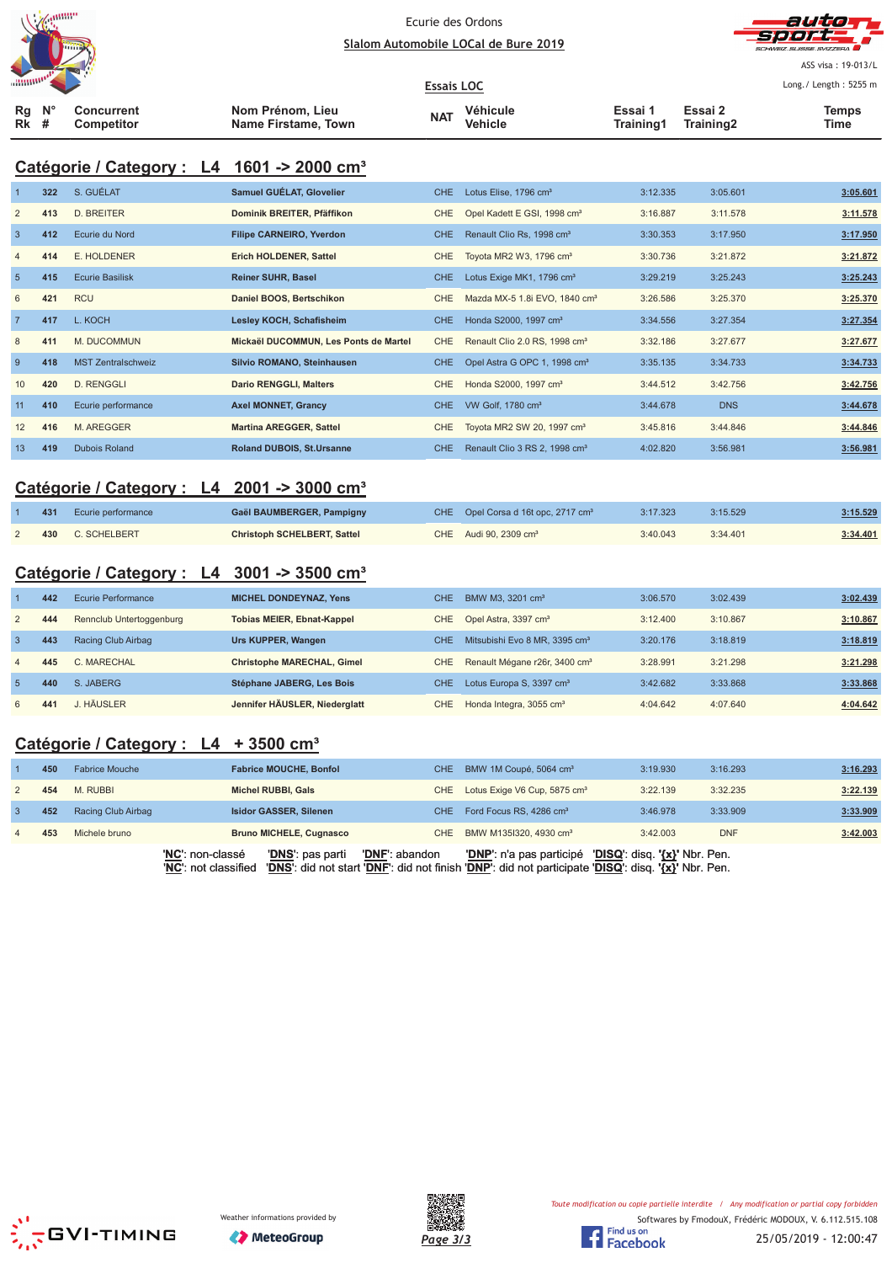



ASS visa: 19-013/L Long./ Length: 5255 m

| $\text{minmin}$ |  |                          |                                         | <b>Essais LOC</b> |                     | Long./ Length: 5255 r |                      |                      |
|-----------------|--|--------------------------|-----------------------------------------|-------------------|---------------------|-----------------------|----------------------|----------------------|
| Ra N°<br>Rk #   |  | Concurrent<br>Competitor | Nom Prénom, Lieu<br>Name Firstame, Town | <b>NAT</b>        | Véhicule<br>Vehicle | Essai 1<br>Training1  | Essai 2<br>Training2 | <b>Temps</b><br>Time |

### **Catégorie / Category : L4 1601 -> 2000 cm³**

|                | 322 | S. GUÉLAT                 | Samuel GUÉLAT, Glovelier              | CHE.       | Lotus Elise, 1796 cm <sup>3</sup>         | 3:12.335 | 3:05.601   | 3:05.601 |
|----------------|-----|---------------------------|---------------------------------------|------------|-------------------------------------------|----------|------------|----------|
| $\overline{2}$ | 413 | <b>D. BREITER</b>         | Dominik BREITER, Pfäffikon            | <b>CHE</b> | Opel Kadett E GSI, 1998 cm <sup>3</sup>   | 3:16.887 | 3:11.578   | 3:11.578 |
| -3             | 412 | Ecurie du Nord            | <b>Filipe CARNEIRO, Yverdon</b>       | <b>CHE</b> | Renault Clio Rs, 1998 cm <sup>3</sup>     | 3:30.353 | 3:17.950   | 3:17.950 |
| $\overline{4}$ | 414 | E. HOLDENER               | Erich HOLDENER, Sattel                | <b>CHE</b> | Toyota MR2 W3, 1796 cm <sup>3</sup>       | 3:30.736 | 3:21.872   | 3:21.872 |
| 5              | 415 | <b>Ecurie Basilisk</b>    | <b>Reiner SUHR, Basel</b>             | <b>CHE</b> | Lotus Exige MK1, 1796 cm <sup>3</sup>     | 3:29.219 | 3:25.243   | 3:25.243 |
| 6              | 421 | <b>RCU</b>                | Daniel BOOS, Bertschikon              | <b>CHE</b> | Mazda MX-5 1.8i EVO, 1840 cm <sup>3</sup> | 3:26.586 | 3:25.370   | 3:25.370 |
| $\overline{7}$ | 417 | L. KOCH                   | Lesley KOCH, Schafisheim              | CHE.       | Honda S2000, 1997 cm <sup>3</sup>         | 3:34.556 | 3:27.354   | 3:27.354 |
| 8              | 411 | M. DUCOMMUN               | Mickaël DUCOMMUN, Les Ponts de Martel | <b>CHE</b> | Renault Clio 2.0 RS, 1998 cm <sup>3</sup> | 3:32.186 | 3:27.677   | 3:27.677 |
| 9              | 418 | <b>MST Zentralschweiz</b> | Silvio ROMANO, Steinhausen            | <b>CHE</b> | Opel Astra G OPC 1, 1998 cm <sup>3</sup>  | 3:35.135 | 3:34.733   | 3:34.733 |
| 10             | 420 | D. RENGGLI                | <b>Dario RENGGLI, Malters</b>         | CHE        | Honda S2000, 1997 cm <sup>3</sup>         | 3:44.512 | 3:42.756   | 3:42.756 |
| 11             | 410 | Ecurie performance        | <b>Axel MONNET, Grancy</b>            | CHE        | VW Golf, 1780 cm <sup>3</sup>             | 3:44.678 | <b>DNS</b> | 3:44.678 |
| 12             | 416 | M. AREGGER                | <b>Martina AREGGER, Sattel</b>        | <b>CHE</b> | Toyota MR2 SW 20, 1997 cm <sup>3</sup>    | 3:45.816 | 3:44.846   | 3:44.846 |
| 13             | 419 | <b>Dubois Roland</b>      | Roland DUBOIS, St.Ursanne             | CHE.       | Renault Clio 3 RS 2, 1998 cm <sup>3</sup> | 4:02.820 | 3:56.981   | 3:56.981 |

### **Catégorie / Category : L4 2001 -> 3000 cm³**

| 431 | Ecurie performance | Gaël BAUMBERGER, Pampigny   | CHE Opel Corsa d 16t opc, 2717 cm <sup>3</sup> | 3:17.323 | 3:15.529 | 3:15.529 |
|-----|--------------------|-----------------------------|------------------------------------------------|----------|----------|----------|
| 430 | C. SCHELBERT       | Christoph SCHELBERT, Sattel | CHE Audi 90, 2309 cm <sup>3</sup>              | 3:40.043 | 3:34.401 | 3:34.401 |

### **Catégorie / Category : L4 3001 -> 3500 cm³**

|                | 442 | Ecurie Performance       | <b>MICHEL DONDEYNAZ, Yens</b>     | CHE. | BMW M3, 3201 cm <sup>3</sup>              | 3:06.570 | 3:02.439 | 3:02.439 |
|----------------|-----|--------------------------|-----------------------------------|------|-------------------------------------------|----------|----------|----------|
| 2              | 444 | Rennclub Untertoggenburg | <b>Tobias MEIER, Ebnat-Kappel</b> | CHE. | Opel Astra, 3397 cm <sup>3</sup>          | 3:12.400 | 3:10.867 | 3:10.867 |
| $\mathbf{3}$   | 443 | Racing Club Airbag       | Urs KUPPER, Wangen                | CHE  | Mitsubishi Evo 8 MR, 3395 cm <sup>3</sup> | 3:20.176 | 3:18.819 | 3:18.819 |
| $\overline{4}$ | 445 | C. MARECHAL              | Christophe MARECHAL, Gimel        | CHE  | Renault Mégane r26r, 3400 cm <sup>3</sup> | 3:28.991 | 3:21.298 | 3:21.298 |
| -5             | 440 | S. JABERG                | Stéphane JABERG, Les Bois         | CHE. | Lotus Europa S, 3397 cm <sup>3</sup>      | 3:42.682 | 3:33.868 | 3:33.868 |
| 6              | 441 | I HÄUSI FR               | Jennifer HÄUSLER, Niederglatt     | CHE  | Honda Integra, 3055 cm <sup>3</sup>       | 4:04.642 | 4:07.640 | 4:04.642 |

### **Catégorie / Category : L4 + 3500 cm³**

|                | 450 | <b>Fabrice Mouche</b> |                  | <b>Fabrice MOUCHE, Bonfol</b>  |                | CHE BMW 1M Coupé, 5064 cm <sup>3</sup>       | 3:19.930                      | 3:16.293   | 3:16.293 |
|----------------|-----|-----------------------|------------------|--------------------------------|----------------|----------------------------------------------|-------------------------------|------------|----------|
| 2              | 454 | M. RUBBI              |                  | Michel RUBBI, Gals             |                | CHE Lotus Exige V6 Cup, 5875 cm <sup>3</sup> | 3:22.139                      | 3:32.235   | 3:22.139 |
|                | 452 | Racing Club Airbag    |                  | <b>Isidor GASSER, Silenen</b>  | CHE.           | Ford Focus RS, 4286 cm <sup>3</sup>          | 3:46.978                      | 3:33.909   | 3:33.909 |
| $\overline{4}$ | 453 | Michele bruno         |                  | <b>Bruno MICHELE, Cugnasco</b> |                | CHE BMW M1351320, 4930 cm <sup>3</sup>       | 3:42.003                      | <b>DNF</b> | 3:42.003 |
|                |     |                       | 'NC': non-classé | 'DNS': pas parti               | 'DNF': abandon | <b>'DNP'</b> : n'a pas participé             | 'DISQ': disq. '{x}' Nbr. Pen. |            |          |



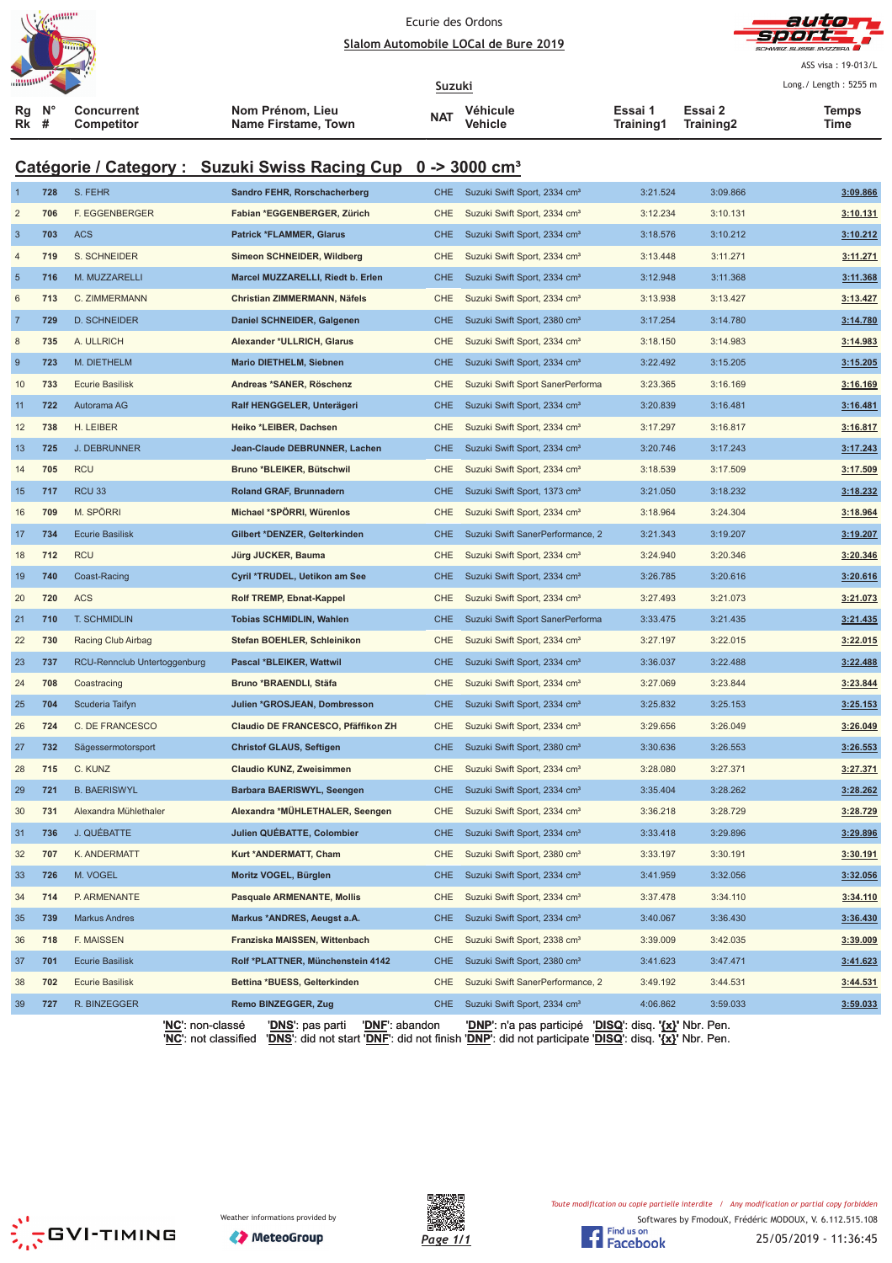



|                |                  |                                 |                                                                          |            |                                                                                   |                      |                      | SCHWEIZ SLISSE SVIZZERA |
|----------------|------------------|---------------------------------|--------------------------------------------------------------------------|------------|-----------------------------------------------------------------------------------|----------------------|----------------------|-------------------------|
|                |                  |                                 |                                                                          |            |                                                                                   |                      |                      | ASS visa: 19-013/L      |
|                |                  |                                 |                                                                          | Suzuki     |                                                                                   |                      |                      | Long./ Length: 5255 m   |
| Rg<br>Rk       | $N^{\circ}$<br># | <b>Concurrent</b><br>Competitor | Nom Prénom, Lieu<br>Name Firstame, Town                                  | NAT        | Véhicule<br>Vehicle                                                               | Essai 1<br>Training1 | Essai 2<br>Training2 | Temps<br>Time           |
|                |                  |                                 | Catégorie / Category : Suzuki Swiss Racing Cup 0 -> 3000 cm <sup>3</sup> |            |                                                                                   |                      |                      |                         |
|                | 728              | S. FEHR                         | Sandro FEHR, Rorschacherberg                                             | <b>CHE</b> | Suzuki Swift Sport, 2334 cm <sup>3</sup>                                          | 3:21.524             | 3:09.866             | 3:09.866                |
| $\overline{2}$ | 706              | F. EGGENBERGER                  | Fabian *EGGENBERGER, Zürich                                              | <b>CHE</b> | Suzuki Swift Sport, 2334 cm <sup>3</sup>                                          | 3:12.234             | 3:10.131             | 3:10.131                |
| 3              | 703              | <b>ACS</b>                      | <b>Patrick *FLAMMER, Glarus</b>                                          | <b>CHE</b> | Suzuki Swift Sport, 2334 cm <sup>3</sup>                                          | 3:18.576             | 3:10.212             | 3:10.212                |
| 4              | 719              | S. SCHNEIDER                    | Simeon SCHNEIDER, Wildberg                                               | <b>CHE</b> | Suzuki Swift Sport, 2334 cm <sup>3</sup>                                          | 3:13.448             | 3:11.271             | 3:11.271                |
| $\overline{5}$ | 716              | M. MUZZARELLI                   | Marcel MUZZARELLI, Riedt b. Erlen                                        | <b>CHE</b> | Suzuki Swift Sport, 2334 cm <sup>3</sup>                                          | 3:12.948             | 3:11.368             | 3:11.368                |
| 6              | 713              | C. ZIMMERMANN                   | Christian ZIMMERMANN, Näfels                                             | <b>CHE</b> | Suzuki Swift Sport, 2334 cm <sup>3</sup>                                          | 3:13.938             | 3:13.427             | 3:13.427                |
| $\overline{7}$ | 729              | <b>D. SCHNEIDER</b>             | Daniel SCHNEIDER, Galgenen                                               | <b>CHE</b> | Suzuki Swift Sport, 2380 cm <sup>3</sup>                                          | 3:17.254             | 3:14.780             | 3:14.780                |
| 8              | 735              | A. ULLRICH                      | Alexander *ULLRICH, Glarus                                               | <b>CHE</b> | Suzuki Swift Sport, 2334 cm <sup>3</sup>                                          | 3:18.150             | 3:14.983             | 3:14.983                |
| 9              | 723              | M. DIETHELM                     | Mario DIETHELM, Siebnen                                                  | <b>CHE</b> | Suzuki Swift Sport, 2334 cm <sup>3</sup>                                          | 3:22.492             | 3:15.205             | 3:15.205                |
| 10             | 733              | <b>Ecurie Basilisk</b>          | Andreas *SANER, Röschenz                                                 | <b>CHE</b> | Suzuki Swift Sport SanerPerforma                                                  | 3:23.365             | 3:16.169             | 3:16.169                |
| 11             | 722              | Autorama AG                     | Ralf HENGGELER, Unterägeri                                               | <b>CHE</b> | Suzuki Swift Sport, 2334 cm <sup>3</sup>                                          | 3:20.839             | 3:16.481             | 3:16.481                |
| 12             | 738              | H. LEIBER                       | Heiko *LEIBER, Dachsen                                                   | <b>CHE</b> | Suzuki Swift Sport, 2334 cm <sup>3</sup>                                          | 3:17.297             | 3:16.817             | 3:16.817                |
| 13             | 725              | <b>J. DEBRUNNER</b>             | Jean-Claude DEBRUNNER, Lachen                                            | <b>CHE</b> | Suzuki Swift Sport, 2334 cm <sup>3</sup>                                          | 3:20.746             | 3:17.243             | 3:17.243                |
| 14             | 705              | <b>RCU</b>                      | Bruno *BLEIKER, Bütschwil                                                | <b>CHE</b> | Suzuki Swift Sport, 2334 cm <sup>3</sup>                                          | 3:18.539             | 3:17.509             | 3:17.509                |
| 15             | 717              | <b>RCU 33</b>                   | Roland GRAF, Brunnadern                                                  | <b>CHE</b> | Suzuki Swift Sport, 1373 cm <sup>3</sup>                                          | 3:21.050             | 3:18.232             | 3:18.232                |
| 16             | 709              | M. SPÖRRI                       | Michael *SPÖRRI, Würenlos                                                | <b>CHE</b> | Suzuki Swift Sport, 2334 cm <sup>3</sup>                                          | 3:18.964             | 3:24.304             | 3:18.964                |
| 17             | 734              | <b>Ecurie Basilisk</b>          | Gilbert *DENZER, Gelterkinden                                            | <b>CHE</b> | Suzuki Swift SanerPerformance, 2                                                  | 3:21.343             | 3:19.207             | 3:19.207                |
| 18             | 712              | <b>RCU</b>                      | Jürg JUCKER, Bauma                                                       | <b>CHE</b> | Suzuki Swift Sport, 2334 cm <sup>3</sup>                                          | 3:24.940             | 3:20.346             | 3:20.346                |
| 19             | 740              | Coast-Racing                    | Cyril *TRUDEL, Uetikon am See                                            | <b>CHE</b> | Suzuki Swift Sport, 2334 cm <sup>3</sup>                                          | 3:26.785             | 3:20.616             | 3:20.616                |
| 20             | 720              | <b>ACS</b>                      | Rolf TREMP, Ebnat-Kappel                                                 | <b>CHE</b> | Suzuki Swift Sport, 2334 cm <sup>3</sup>                                          | 3:27.493             | 3:21.073             | 3:21.073                |
| 21             | 710              | T. SCHMIDLIN                    | <b>Tobias SCHMIDLIN, Wahlen</b>                                          | <b>CHE</b> | Suzuki Swift Sport SanerPerforma                                                  | 3:33.475             | 3:21.435             | 3:21.435                |
| 22             | 730              | Racing Club Airbag              | Stefan BOEHLER, Schleinikon                                              | <b>CHE</b> | Suzuki Swift Sport, 2334 cm <sup>3</sup>                                          | 3:27.197             | 3:22.015             | 3:22.015                |
| 23             | 737              | RCU-Rennclub Untertoggenburg    | Pascal *BLEIKER, Wattwil                                                 | <b>CHE</b> | Suzuki Swift Sport, 2334 cm <sup>3</sup>                                          | 3:36.037             | 3:22.488             | 3:22.488                |
| 24             | 708              | Coastracing                     | Bruno *BRAENDLI, Stäfa                                                   | <b>CHE</b> | Suzuki Swift Sport, 2334 cm <sup>3</sup>                                          | 3:27.069             | 3:23.844             | 3:23.844                |
| 25             | 704              | Scuderia Taifyn                 | Julien *GROSJEAN, Dombresson                                             | <b>CHE</b> | Suzuki Swift Sport, 2334 cm <sup>3</sup>                                          | 3:25.832             | 3:25.153             | 3:25.153                |
| 26             | 724              | C. DE FRANCESCO                 | Claudio DE FRANCESCO, Pfäffikon ZH                                       | CHE        | Suzuki Swift Sport, 2334 cm <sup>3</sup>                                          | 3:29.656             | 3:26.049             | 3:26.049                |
| 27             | 732              | Sägessermotorsport              | <b>Christof GLAUS, Seftigen</b>                                          | <b>CHE</b> | Suzuki Swift Sport, 2380 cm <sup>3</sup>                                          | 3:30.636             | 3:26.553             | 3:26.553                |
| 28             | 715              | C. KUNZ                         | Claudio KUNZ, Zweisimmen                                                 | <b>CHE</b> | Suzuki Swift Sport, 2334 cm <sup>3</sup>                                          | 3:28.080             | 3:27.371             | 3:27.371                |
| 29             | 721              | <b>B. BAERISWYL</b>             | Barbara BAERISWYL, Seengen                                               | <b>CHE</b> | Suzuki Swift Sport, 2334 cm <sup>3</sup>                                          | 3:35.404             | 3:28.262             | 3:28.262                |
| 30             | 731              | Alexandra Mühlethaler           | Alexandra *MÜHLETHALER, Seengen                                          | CHE        | Suzuki Swift Sport, 2334 cm <sup>3</sup>                                          | 3:36.218             | 3:28.729             | 3:28.729                |
| 31             | 736              | J. QUÉBATTE                     | Julien QUÉBATTE, Colombier                                               | <b>CHE</b> | Suzuki Swift Sport, 2334 cm <sup>3</sup>                                          | 3:33.418             | 3:29.896             | 3:29.896                |
| 32             | 707              | K. ANDERMATT                    | Kurt *ANDERMATT, Cham                                                    | CHE        | Suzuki Swift Sport, 2380 cm <sup>3</sup>                                          | 3:33.197             | 3:30.191             | 3:30.191                |
| 33             | 726              | M. VOGEL                        | Moritz VOGEL, Bürglen                                                    | <b>CHE</b> | Suzuki Swift Sport, 2334 cm <sup>3</sup>                                          | 3:41.959             | 3:32.056             | 3:32.056                |
| 34             | 714              | P. ARMENANTE                    | <b>Pasquale ARMENANTE, Mollis</b>                                        | CHE        | Suzuki Swift Sport, 2334 cm <sup>3</sup>                                          | 3:37.478             | 3:34.110             | 3:34.110                |
| 35             | 739              | <b>Markus Andres</b>            | Markus *ANDRES, Aeugst a.A.                                              | <b>CHE</b> | Suzuki Swift Sport, 2334 cm <sup>3</sup>                                          | 3:40.067             | 3:36.430             | 3:36.430                |
| 36             | 718              | F. MAISSEN                      | Franziska MAISSEN, Wittenbach                                            | <b>CHE</b> | Suzuki Swift Sport, 2338 cm <sup>3</sup>                                          | 3:39.009             | 3:42.035             | 3:39.009                |
| 37             | 701              | <b>Ecurie Basilisk</b>          | Rolf *PLATTNER, Münchenstein 4142                                        | <b>CHE</b> | Suzuki Swift Sport, 2380 cm <sup>3</sup>                                          | 3:41.623             | 3:47.471             | 3:41.623                |
| 38             | 702              | <b>Ecurie Basilisk</b>          | Bettina *BUESS, Gelterkinden                                             | <b>CHE</b> | Suzuki Swift SanerPerformance, 2                                                  | 3:49.192             | 3:44.531             | 3:44.531                |
| 39             | 727              | R. BINZEGGER                    | Remo BINZEGGER, Zug                                                      | CHE        | Suzuki Swift Sport, 2334 cm <sup>3</sup>                                          | 4:06.862             | 3:59.033             | 3:59.033                |
|                |                  | ' <b>NC'</b> : non-classé       | ' <u>DNS'</u> : pas parti<br>'DNF': abandon                              |            | ' <u>DNP'</u> : n'a pas participé ' <u>DISQ</u> ': disq. ' <u>{x}</u> ' Nbr. Pen. |                      |                      |                         |





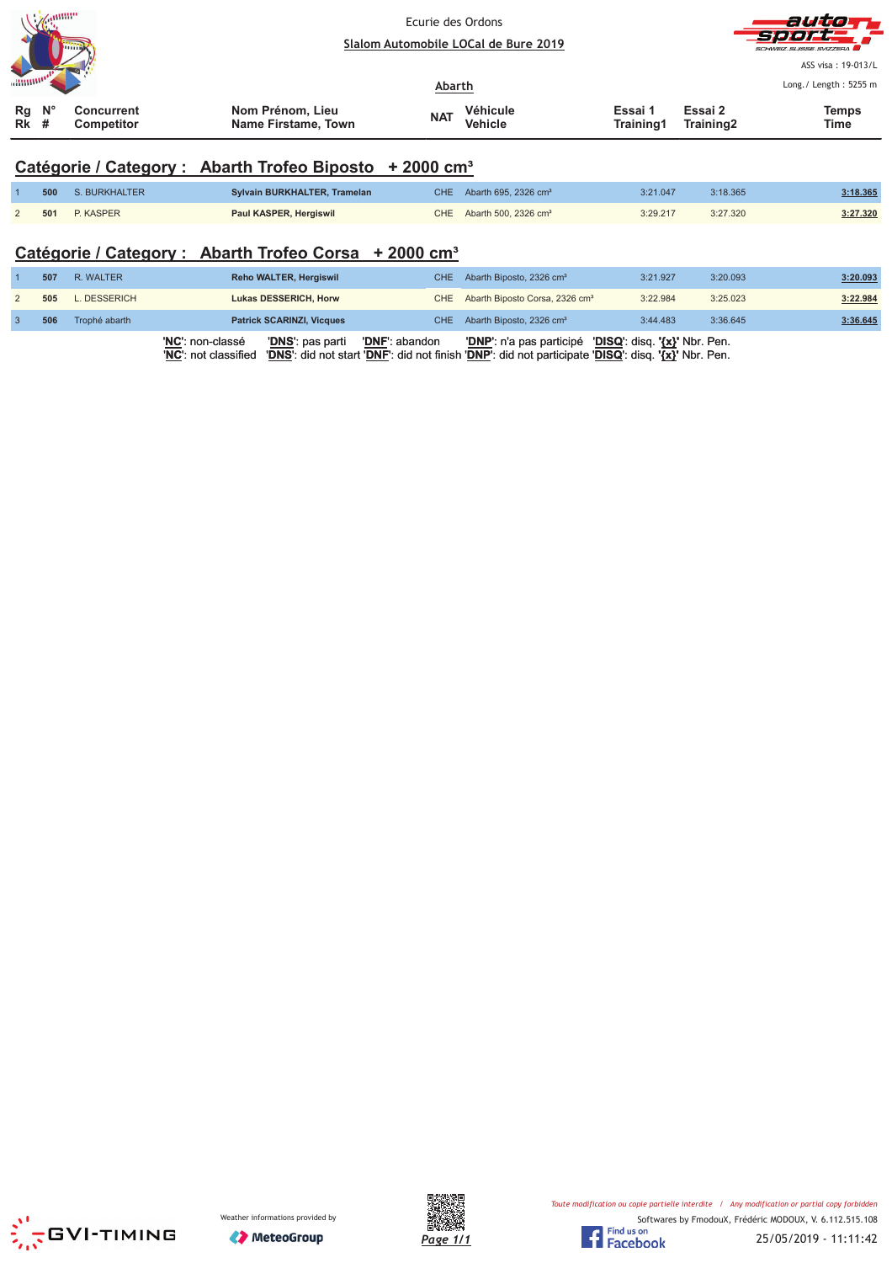| <b>Manufacturer</b><br><b>Limits</b>                                   |                                         | Ecurie des Ordons<br>Slalom Automobile LOCal de Bure 2019 |                            |                      | auto<br>-Sjereist<br>SCHWEIZ SUISSE SVIZZEDA |                                             |  |
|------------------------------------------------------------------------|-----------------------------------------|-----------------------------------------------------------|----------------------------|----------------------|----------------------------------------------|---------------------------------------------|--|
|                                                                        |                                         | Abarth                                                    |                            |                      |                                              | ASS visa: 19-013/L<br>Long./ Length: 5255 m |  |
| $N^{\circ}$<br>Rg<br><b>Concurrent</b><br>Rk<br><b>Competitor</b><br># | Nom Prénom, Lieu<br>Name Firstame, Town | <b>NAT</b>                                                | Véhicule<br><b>Vehicle</b> | Essai 1<br>Training1 | Essai 2<br>Training2                         | <b>Temps</b><br>Time                        |  |

# **Catégorie / Category : Abarth Trofeo Biposto + 2000 cm³**

| 500 | S. BURKHALTER    | Sylvain BURKHALTER, Tramelan | CHE Abarth 695, 2326 $cm3$ | 3:21.047 | 3:18.365 | 3:18.365 |
|-----|------------------|------------------------------|----------------------------|----------|----------|----------|
| 501 | <b>P. KASPER</b> | Paul KASPER, Hergiswil       | CHE Abarth 500, 2326 $cm3$ | 3:29.217 | 3:27.320 | 3:27.320 |

# **Catégorie / Category : Abarth Trofeo Corsa + 2000 cm³**

|     |               | 'DNS': pas parti<br>' <b>NC'</b> : non-classé<br>'DNF': abandon<br>'DNS': did not start 'DNF': did not finish 'DNP': did not participate 'DISQ': disq. '{x}' Nbr. Pen.<br>'NC': not classified | 'DNP': n'a pas participé 'DISQ': disq. '{x}' Nbr. Pen. |          |          |          |
|-----|---------------|------------------------------------------------------------------------------------------------------------------------------------------------------------------------------------------------|--------------------------------------------------------|----------|----------|----------|
| 506 | Trophé abarth | <b>Patrick SCARINZI, Vicques</b>                                                                                                                                                               | CHE Abarth Biposto, 2326 cm <sup>3</sup>               | 3:44.483 | 3:36.645 | 3:36.645 |
| 505 | L. DESSERICH  | Lukas DESSERICH, Horw                                                                                                                                                                          | CHE Abarth Biposto Corsa, 2326 cm <sup>3</sup>         | 3:22.984 | 3:25.023 | 3:22.984 |
| 507 | R. WALTER     | Reho WALTER, Hergiswil                                                                                                                                                                         | CHE Abarth Biposto, 2326 cm <sup>3</sup>               | 3:21.927 | 3:20.093 | 3:20.093 |





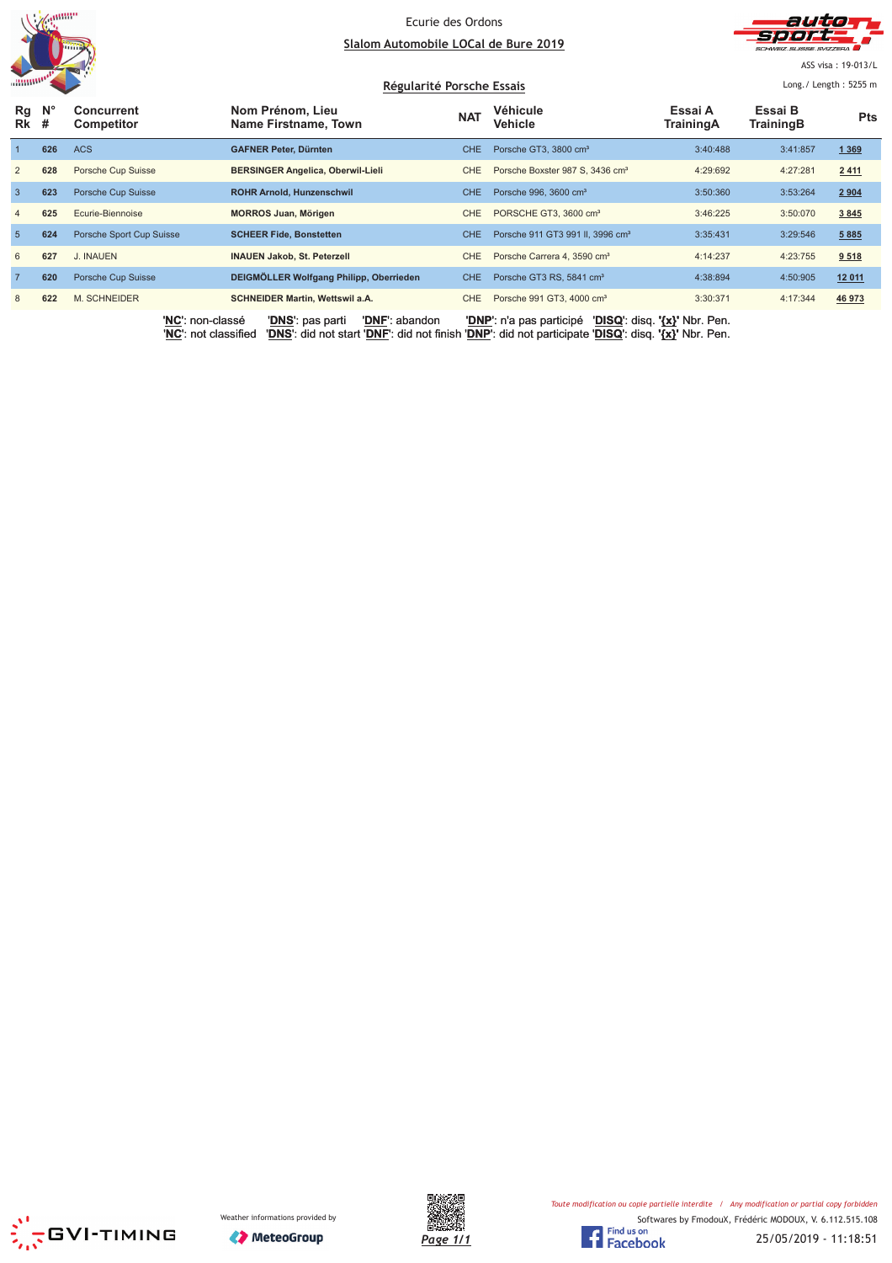



ASS visa: 19-013/L

|                |                  | Régularité Porsche Essais              |                                          |            |                                              | Long. / Length: $5255$ m      |                      |            |
|----------------|------------------|----------------------------------------|------------------------------------------|------------|----------------------------------------------|-------------------------------|----------------------|------------|
| Rg<br>Rk       | $N^{\circ}$<br># | <b>Concurrent</b><br><b>Competitor</b> | Nom Prénom, Lieu<br>Name Firstname, Town | <b>NAT</b> | Véhicule<br>Vehicle                          | Essai A<br>TrainingA          | Essai B<br>TrainingB | <b>Pts</b> |
|                | 626              | <b>ACS</b>                             | <b>GAFNER Peter, Dürnten</b>             | <b>CHE</b> | Porsche GT3, 3800 cm <sup>3</sup>            | 3:40:488                      | 3:41:857             | 1 3 6 9    |
| 2              | 628              | Porsche Cup Suisse                     | <b>BERSINGER Angelica, Oberwil-Lieli</b> | CHE        | Porsche Boxster 987 S, 3436 cm <sup>3</sup>  | 4:29:692                      | 4:27:281             | 2 4 1 1    |
| $\overline{3}$ | 623              | Porsche Cup Suisse                     | ROHR Arnold, Hunzenschwil                | <b>CHE</b> | Porsche 996, 3600 cm <sup>3</sup>            | 3:50:360                      | 3:53:264             | 2 9 0 4    |
| $\overline{4}$ | 625              | Ecurie-Biennoise                       | <b>MORROS Juan, Mörigen</b>              | <b>CHE</b> | PORSCHE GT3, 3600 cm <sup>3</sup>            | 3:46:225                      | 3:50:070             | 3 8 4 5    |
| 5              | 624              | Porsche Sport Cup Suisse               | <b>SCHEER Fide, Bonstetten</b>           | <b>CHE</b> | Porsche 911 GT3 991 II, 3996 cm <sup>3</sup> | 3:35:431                      | 3:29:546             | 5 8 8 5    |
| 6              | 627              | . INAUEN                               | <b>INAUEN Jakob, St. Peterzell</b>       | CHE        | Porsche Carrera 4, 3590 cm <sup>3</sup>      | 4:14:237                      | 4:23:755             | 9 5 18     |
| $\overline{7}$ | 620              | Porsche Cup Suisse                     | DEIGMÖLLER Wolfgang Philipp, Oberrieden  | <b>CHE</b> | Porsche GT3 RS, 5841 cm <sup>3</sup>         | 4:38:894                      | 4:50:905             | 12 011     |
| 8              | 622              | <b>M. SCHNEIDER</b>                    | <b>SCHNEIDER Martin, Wettswil a.A.</b>   | CHE        | Porsche 991 GT3, 4000 cm <sup>3</sup>        | 3:30:371                      | 4:17:344             | 46 973     |
|                |                  | 'NC': non-classé                       | 'DNF': abandon<br>'DNS': pas parti       |            | 'DNP': n'a pas participé                     | 'DISQ': disq. '{x}' Nbr. Pen. |                      |            |





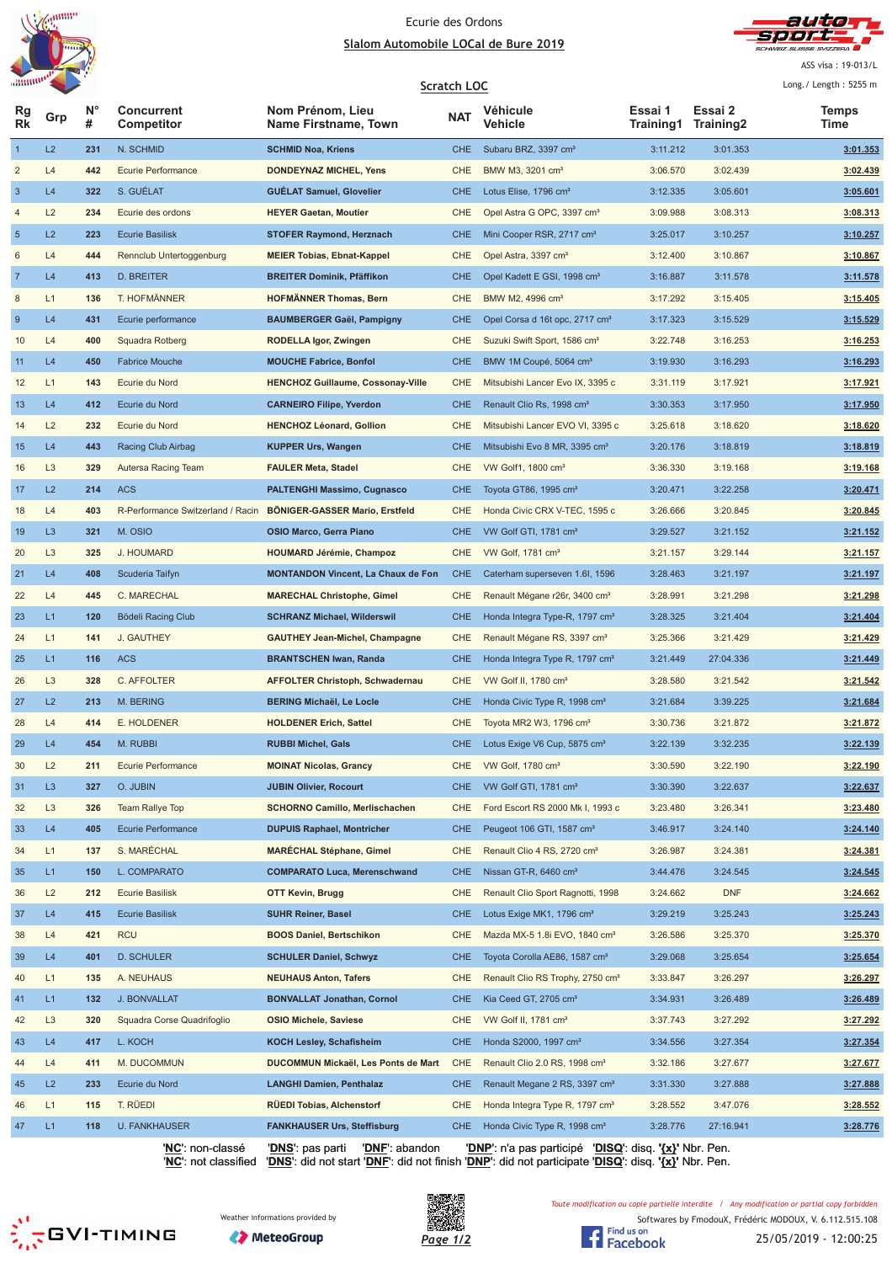



ASS visa: 19-013/L  $\overline{1}$  and  $\overline{1}$  is a state of  $\overline{2}$ 

| annone.<br>Scratch LOC |                |         |                                   |                                           |            |                                              |                      | Long./ Length: 5255 m |                      |
|------------------------|----------------|---------|-----------------------------------|-------------------------------------------|------------|----------------------------------------------|----------------------|-----------------------|----------------------|
| Rg<br>Rk               | Grp            | N°<br># | <b>Concurrent</b><br>Competitor   | Nom Prénom, Lieu<br>Name Firstname, Town  | <b>NAT</b> | Véhicule<br>Vehicle                          | Essai 1<br>Training1 | Essai 2<br>Training2  | <b>Temps</b><br>Time |
| $\mathbf{1}$           | L2             | 231     | N. SCHMID                         | <b>SCHMID Noa, Kriens</b>                 | <b>CHE</b> | Subaru BRZ, 3397 cm <sup>3</sup>             | 3:11.212             | 3:01.353              | 3:01.353             |
| $\overline{c}$         | L4             | 442     | <b>Ecurie Performance</b>         | <b>DONDEYNAZ MICHEL, Yens</b>             | CHE        | BMW M3, 3201 cm <sup>3</sup>                 | 3:06.570             | 3:02.439              | 3:02.439             |
| $\mathbf{3}$           | L4             | 322     | S. GUÉLAT                         | <b>GUELAT Samuel, Glovelier</b>           | <b>CHE</b> | Lotus Elise, 1796 cm <sup>3</sup>            | 3:12.335             | 3:05.601              | 3:05.601             |
| 4                      | L2             | 234     | Ecurie des ordons                 | <b>HEYER Gaetan, Moutier</b>              | CHE        | Opel Astra G OPC, 3397 cm <sup>3</sup>       | 3:09.988             | 3:08.313              | 3:08.313             |
| 5                      | L2             | 223     | <b>Ecurie Basilisk</b>            | <b>STOFER Raymond, Herznach</b>           | <b>CHE</b> | Mini Cooper RSR, 2717 cm <sup>3</sup>        | 3:25.017             | 3:10.257              | 3:10.257             |
| 6                      | L4             | 444     | Rennclub Untertoggenburg          | <b>MEIER Tobias, Ebnat-Kappel</b>         | CHE        | Opel Astra, 3397 cm <sup>3</sup>             | 3:12.400             | 3:10.867              | 3:10.867             |
| $\overline{7}$         | L4             | 413     | D. BREITER                        | <b>BREITER Dominik, Pfäffikon</b>         | <b>CHE</b> | Opel Kadett E GSI, 1998 cm <sup>3</sup>      | 3:16.887             | 3:11.578              | 3:11.578             |
| 8                      | L1             | 136     | T. HOFMÄNNER                      | <b>HOFMÄNNER Thomas, Bern</b>             | CHE        | BMW M2, 4996 cm <sup>3</sup>                 | 3:17.292             | 3:15.405              | 3:15.405             |
| 9                      | L4             | 431     | Ecurie performance                | <b>BAUMBERGER Gaël, Pampigny</b>          | <b>CHE</b> | Opel Corsa d 16t opc, 2717 cm <sup>3</sup>   | 3:17.323             | 3:15.529              | 3:15.529             |
| 10                     | L4             | 400     | Squadra Rotberg                   | RODELLA Igor, Zwingen                     | CHE        | Suzuki Swift Sport, 1586 cm <sup>3</sup>     | 3:22.748             | 3:16.253              | 3:16.253             |
| 11                     | L4             | 450     | <b>Fabrice Mouche</b>             | <b>MOUCHE Fabrice, Bonfol</b>             | <b>CHE</b> | BMW 1M Coupé, 5064 cm <sup>3</sup>           | 3:19.930             | 3:16.293              | 3:16.293             |
| 12                     | L1             | 143     | Ecurie du Nord                    | <b>HENCHOZ Guillaume, Cossonay-Ville</b>  | <b>CHE</b> | Mitsubishi Lancer Evo IX, 3395 c             | 3:31.119             | 3:17.921              | 3:17.921             |
| 13                     | L4             | 412     | Ecurie du Nord                    | <b>CARNEIRO Filipe, Yverdon</b>           | <b>CHE</b> | Renault Clio Rs, 1998 cm <sup>3</sup>        | 3:30.353             | 3:17.950              | 3:17.950             |
| 14                     | L2             | 232     | Ecurie du Nord                    | <b>HENCHOZ Léonard, Gollion</b>           | CHE        | Mitsubishi Lancer EVO VI, 3395 c             | 3:25.618             | 3:18.620              | 3:18.620             |
| 15                     | L4             | 443     | Racing Club Airbag                | <b>KUPPER Urs, Wangen</b>                 | <b>CHE</b> | Mitsubishi Evo 8 MR, 3395 cm <sup>3</sup>    | 3:20.176             | 3:18.819              | 3:18.819             |
| 16                     | L <sub>3</sub> | 329     | Autersa Racing Team               | <b>FAULER Meta, Stadel</b>                | CHE        | VW Golf1, 1800 cm <sup>3</sup>               | 3:36.330             | 3:19.168              | 3:19.168             |
| 17                     | L2             | 214     | <b>ACS</b>                        | <b>PALTENGHI Massimo, Cugnasco</b>        | <b>CHE</b> | Toyota GT86, 1995 cm <sup>3</sup>            | 3:20.471             | 3:22.258              | 3:20.471             |
| 18                     | L4             | 403     | R-Performance Switzerland / Racin | BÖNIGER-GASSER Mario, Erstfeld            | CHE        | Honda Civic CRX V-TEC, 1595 c                | 3:26.666             | 3:20.845              | 3:20.845             |
| 19                     | L <sub>3</sub> | 321     | M. OSIO                           | OSIO Marco, Gerra Piano                   | <b>CHE</b> | VW Golf GTI, 1781 cm <sup>3</sup>            | 3:29.527             | 3:21.152              | 3:21.152             |
| 20                     | L <sub>3</sub> | 325     | J. HOUMARD                        | <b>HOUMARD Jérémie, Champoz</b>           | CHE        | VW Golf, 1781 cm <sup>3</sup>                | 3:21.157             | 3:29.144              | 3:21.157             |
| 21                     | L4             | 408     | Scuderia Taifyn                   | <b>MONTANDON Vincent, La Chaux de Fon</b> | <b>CHE</b> | Caterham superseven 1.6I, 1596               | 3:28.463             | 3:21.197              | 3:21.197             |
| 22                     | L4             | 445     | C. MARECHAL                       | <b>MARECHAL Christophe, Gimel</b>         | CHE        | Renault Mégane r26r, 3400 cm <sup>3</sup>    | 3:28.991             | 3:21.298              | 3:21.298             |
| 23                     | L1             | 120     | Bödeli Racing Club                | <b>SCHRANZ Michael, Wilderswil</b>        | <b>CHE</b> | Honda Integra Type-R, 1797 cm <sup>3</sup>   | 3:28.325             | 3:21.404              | 3:21.404             |
| 24                     | L1             | 141     | J. GAUTHEY                        | <b>GAUTHEY Jean-Michel, Champagne</b>     | CHE        | Renault Mégane RS, 3397 cm <sup>3</sup>      | 3:25.366             | 3:21.429              | 3:21.429             |
| 25                     | L1             | 116     | <b>ACS</b>                        | <b>BRANTSCHEN Iwan, Randa</b>             | <b>CHE</b> | Honda Integra Type R, 1797 cm <sup>3</sup>   | 3:21.449             | 27:04.336             | 3:21.449             |
| 26                     | L <sub>3</sub> | 328     | C. AFFOLTER                       | <b>AFFOLTER Christoph, Schwadernau</b>    | CHE        | VW Golf II, 1780 cm <sup>3</sup>             | 3:28.580             | 3:21.542              | 3:21.542             |
| 27                     | L2             | 213     | M. BERING                         | <b>BERING Michaël, Le Locle</b>           | <b>CHE</b> | Honda Civic Type R, 1998 cm <sup>3</sup>     | 3:21.684             | 3:39.225              | 3:21.684             |
| 28                     | L4             | 414     | E. HOLDENER                       | <b>HOLDENER Erich, Sattel</b>             | CHE        | Toyota MR2 W3, 1796 cm <sup>3</sup>          | 3:30.736             | 3:21.872              | 3:21.872             |
| 29                     | L4             | 454     | M. RUBBI                          | <b>RUBBI Michel, Gals</b>                 | <b>CHE</b> | Lotus Exige V6 Cup, 5875 cm <sup>3</sup>     | 3:22.139             | 3:32.235              | 3:22.139             |
| 30                     | L2             | 211     | <b>Ecurie Performance</b>         | <b>MOINAT Nicolas, Grancy</b>             | <b>CHE</b> | VW Golf, 1780 cm <sup>3</sup>                | 3:30.590             | 3:22.190              | 3:22.190             |
| 31                     | L <sub>3</sub> | 327     | O. JUBIN                          | <b>JUBIN Olivier, Rocourt</b>             | <b>CHE</b> | VW Golf GTI, 1781 cm <sup>3</sup>            | 3:30.390             | 3:22.637              | 3:22.637             |
| 32                     | L <sub>3</sub> | 326     | <b>Team Rallye Top</b>            | <b>SCHORNO Camillo, Merlischachen</b>     | CHE        | Ford Escort RS 2000 Mk I, 1993 c             | 3:23.480             | 3:26.341              | 3:23.480             |
| 33                     | L4             | 405     | <b>Ecurie Performance</b>         | <b>DUPUIS Raphael, Montricher</b>         | <b>CHE</b> | Peugeot 106 GTI, 1587 cm <sup>3</sup>        | 3:46.917             | 3:24.140              | 3:24.140             |
| 34                     | L1             | 137     | S. MARÉCHAL                       | <b>MARECHAL Stéphane, Gimel</b>           | CHE        | Renault Clio 4 RS, 2720 cm <sup>3</sup>      | 3:26.987             | 3:24.381              | 3:24.381             |
| 35                     | L1             | 150     | L. COMPARATO                      | <b>COMPARATO Luca, Merenschwand</b>       | <b>CHE</b> | Nissan GT-R, 6460 cm <sup>3</sup>            | 3:44.476             | 3:24.545              | 3:24.545             |
| 36                     | L2             | 212     | <b>Ecurie Basilisk</b>            | OTT Kevin, Brugg                          | CHE        | Renault Clio Sport Ragnotti, 1998            | 3:24.662             | <b>DNF</b>            | 3:24.662             |
| 37                     | L4             | 415     | <b>Ecurie Basilisk</b>            | <b>SUHR Reiner, Basel</b>                 | <b>CHE</b> | Lotus Exige MK1, 1796 cm <sup>3</sup>        | 3:29.219             | 3:25.243              | 3:25.243             |
| 38                     | L4             | 421     | <b>RCU</b>                        | <b>BOOS Daniel, Bertschikon</b>           | CHE        | Mazda MX-5 1.8i EVO, 1840 cm <sup>3</sup>    | 3:26.586             | 3:25.370              | 3:25.370             |
| 39                     | L4             | 401     | <b>D. SCHULER</b>                 | <b>SCHULER Daniel, Schwyz</b>             | <b>CHE</b> | Toyota Corolla AE86, 1587 cm <sup>3</sup>    | 3:29.068             | 3:25.654              | 3:25.654             |
| 40                     | L1             | 135     | A. NEUHAUS                        | <b>NEUHAUS Anton, Tafers</b>              | CHE        | Renault Clio RS Trophy, 2750 cm <sup>3</sup> | 3:33.847             | 3:26.297              | 3:26.297             |
| 41                     | L1             | 132     | <b>J. BONVALLAT</b>               | <b>BONVALLAT Jonathan, Cornol</b>         | <b>CHE</b> | Kia Ceed GT, 2705 cm <sup>3</sup>            | 3:34.931             | 3:26.489              | 3:26.489             |
| 42                     | L <sub>3</sub> | 320     | Squadra Corse Quadrifoglio        | <b>OSIO Michele, Saviese</b>              | CHE        | VW Golf II, 1781 cm <sup>3</sup>             | 3:37.743             | 3:27.292              | 3:27.292             |
| 43                     | L4             | 417     | L. KOCH                           | KOCH Lesley, Schafisheim                  | <b>CHE</b> | Honda S2000, 1997 cm <sup>3</sup>            | 3:34.556             | 3:27.354              | 3:27.354             |
| 44                     | L4             | 411     | M. DUCOMMUN                       | DUCOMMUN Mickaël, Les Ponts de Mart       | CHE        | Renault Clio 2.0 RS, 1998 cm <sup>3</sup>    | 3:32.186             | 3:27.677              | 3:27.677             |
| 45                     | L2             | 233     | Ecurie du Nord                    | <b>LANGHI Damien, Penthalaz</b>           | <b>CHE</b> | Renault Megane 2 RS, 3397 cm <sup>3</sup>    | 3:31.330             | 3:27.888              | 3:27.888             |
| 46                     | L1             | 115     | T. RÜEDI                          | RÜEDI Tobias, Alchenstorf                 | CHE        | Honda Integra Type R, 1797 cm <sup>3</sup>   | 3:28.552             | 3:47.076              | 3:28.552             |
| 47                     | L1             | 118     | <b>U. FANKHAUSER</b>              | <b>FANKHAUSER Urs, Steffisburg</b>        | <b>CHE</b> | Honda Civic Type R, 1998 cm <sup>3</sup>     | 3:28.776             | 27:16.941             | 3:28.776             |